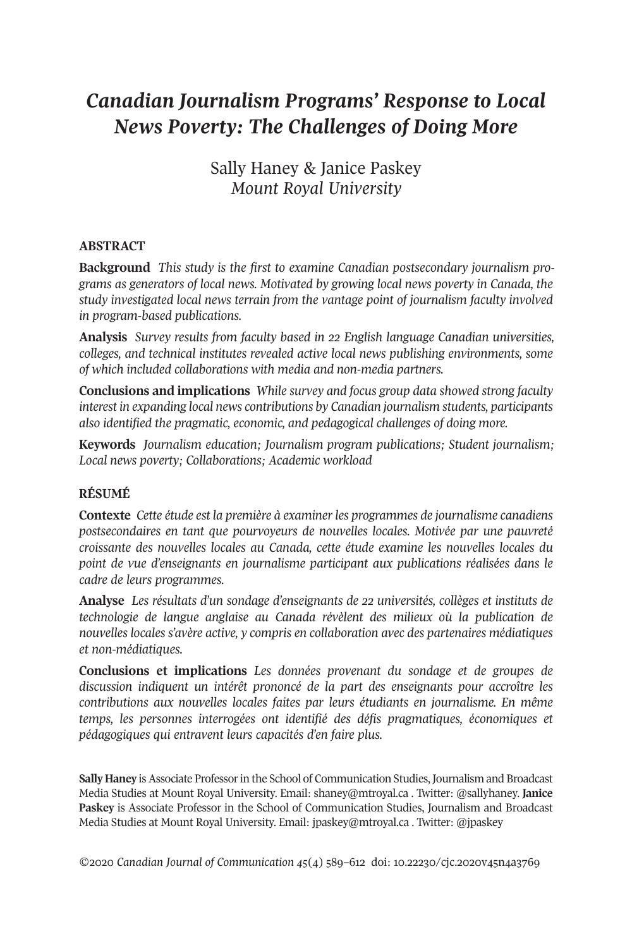# *Canadian Journalism Programs' Response to Local News Poverty: The Challenges of Doing More*

Sally Haney & Janice Paskey *Mount Royal University*

#### **ABSTRACT**

**Background** *This study is the first to examine Canadian postsecondary journalism programs as generators of local news. Motivated by growing local news poverty in Canada, the study investigated local news terrain from the vantage point of journalism faculty involved in program-based publications.*

**Analysis** *Survey results from faculty based in 22 English language Canadian universities, colleges, and technical institutes revealed active local news publishing environments, some of which included collaborations with media and non-media partners.*

**Conclusions and implications** *While survey and focus group data showed strong faculty interest in expanding local news contributions by Canadian journalism students, participants also identified the pragmatic, economic, and pedagogical challenges of doing more.*

**Keywords** *Journalism education; Journalism program publications; Student journalism; Local news poverty; Collaborations; Academic workload*

#### **RÉSUMÉ**

**Contexte** *Cette étude est la première à examiner les programmes de journalisme canadiens postsecondaires en tant que pourvoyeurs de nouvelles locales. Motivée par une pauvreté croissante des nouvelles locales au Canada, cette étude examine les nouvelles locales du point de vue d'enseignants en journalisme participant aux publications réalisées dans le cadre de leurs programmes.*

**Analyse** *Les résultats d'un sondage d'enseignants de 22 universités, collèges et instituts de technologie de langue anglaise au Canada révèlent des milieux où la publication de nouvelles locales s'avère active, y compris en collaboration avec des partenaires médiatiques et non-médiatiques.*

**Conclusions et implications** *Les données provenant du sondage et de groupes de discussion indiquent un intérêt prononcé de la part des enseignants pour accroître les contributions aux nouvelles locales faites par leurs étudiants en journalisme. En même temps, les personnes interrogées ont identifié des défis pragmatiques, économiques et pédagogiques qui entravent leurs capacités d'en faire plus.*

**Sally Haney** is Associate Professor in the School of Communication Studies, Journalism and Broadcast Media Studies at Mount Royal University. Email: [shaney@mtroyal.ca](mailto:shaney@mtroyal.ca) . Twitter: @sallyhaney. **Janice Paskey** is Associate Professor in the School of Communication Studies, Journalism and Broadcast Media Studies at Mount Royal University. Email: [jpaskey@mtroyal.ca](mailto:jpaskey@mtroyal.ca) . Twitter: @jpaskey

*©*2020 *Canadian Journal of [Communication](http://www.cjc-online.ca) 45*(4) 589–612 doi: [10.22230/cjc.2020v45n4a3769](http://doi.org/10.22230/cjc.2020v45n4a3769)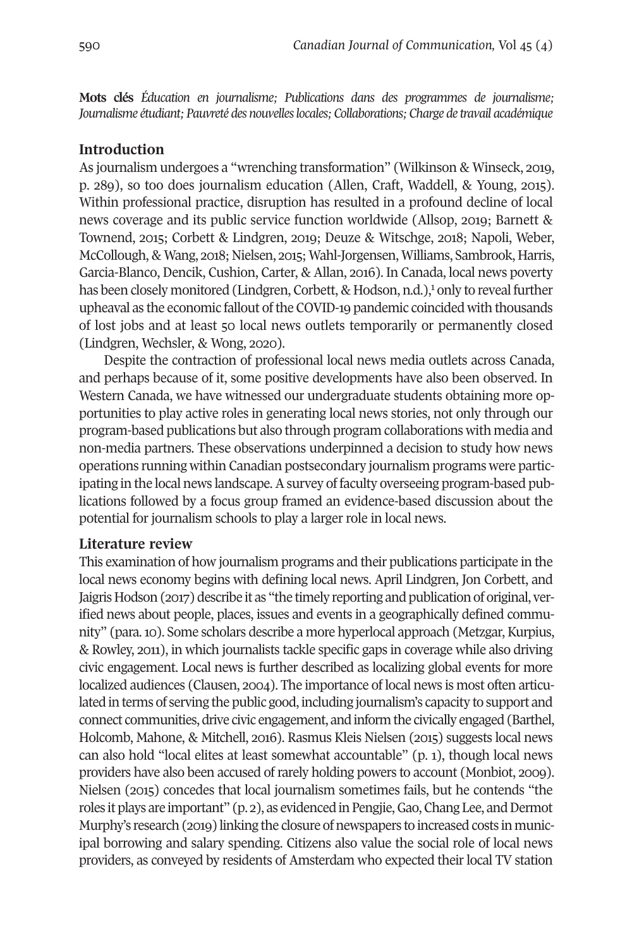**Mots clés** *Éducation en journalisme; Publications dans des programmes de journalisme; Journalisme étudiant; Pauvreté des nouvelleslocales; Collaborations; Charge de travail académique*

## **Introduction**

As journalism undergoes a "wrenching transformation" (Wilkinson & Winseck, 2019, p. 289), so too does journalism education (Allen, Craft, Waddell, & Young, 2015). Within professional practice, disruption has resulted in a profound decline of local news coverage and its public service function worldwide (Allsop, 2019; Barnett & Townend, 2015; Corbett & Lindgren, 2019; Deuze & Witschge, 2018; Napoli, Weber, McCollough, & Wang, 2018; Nielsen, 2015; Wahl-Jorgensen, Williams, Sambrook, Harris, Garcia-Blanco, Dencik, Cushion, Carter, & Allan, 2016). In Can[ad](#page-15-0)a, local news poverty has been closely monito[r](#page-15-0)ed (Lindgren, Corbett, & Hodson, n.d.),<sup>1</sup> only to reveal further upheaval as the economic fallout of the COVID-19 pandemic coincided with thousands of lost jobs and at least 50 local news outlets temporarily or permanently closed (Lindgren, Wechsler, & Wong, 2020).

Despite the contraction of professional local news media outlets across Canada, and perhaps because of it, some positive developments have also been observed. In Western Canada, we have witnessed our undergraduate students obtaining more opportunities to play active roles in generating local news stories, not only through our program-based publications but also through program collaborations with media and non-media partners. These observations underpinned a decision to study how news operations running within Canadian postsecondary journalism programs were participating in the local news landscape.Asurvey of faculty overseeing program-based publications followed by a focus group framed an evidence-based discussion about the potential for journalism schools to play a larger role in local news.

#### **Literature review**

This examination of how journalism programs and their publications participate in the local news economy begins with defining local news. April Lindgren, Jon Corbett, and Jaigris Hodson (2017) describe it as "the timely reporting and publication of original, verified news about people, places, issues and events in a geographically defined community" (para.10). Some scholars describe a more hyperlocal approach (Metzgar, Kurpius, & Rowley, 2011), in which journalists tackle specific gaps in coverage while also driving civic engagement. Local news is further described as localizing global events for more localized audiences (Clausen, 2004). The importance of local news is most often articulated interms of serving the public good, including journalism's capacity to support and connect communities, drive civic engagement, and inform the civically engaged (Barthel, Holcomb, Mahone, & Mitchell, 2016). Rasmus Kleis Nielsen (2015) suggests local news can also hold "local elites at least somewhat accountable" (p. 1), though local news providers have also been accused ofrarely holding powers to account (Monbiot, 2009). Nielsen (2015) concedes that local journalism sometimes fails, but he contends "the roles it plays are important" (p. 2), as evidenced in Pengjie, Gao, Chang Lee, and Dermot Murphy's research (2019) linking the closure of newspapers to increased costs in municipal borrowing and salary spending. Citizens also value the social role of local news providers, as conveyed by residents of Amsterdam who expected their local TV station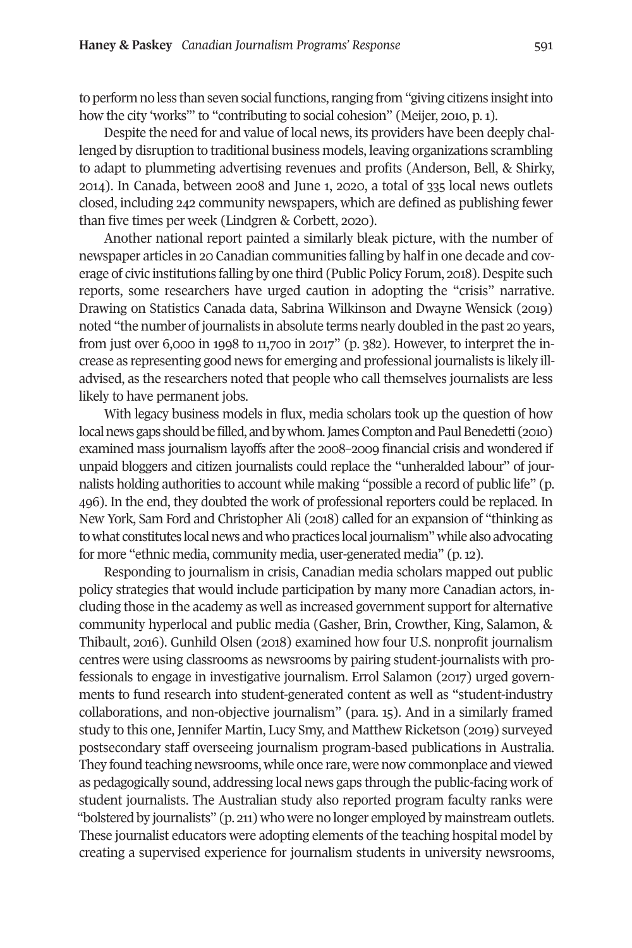to perform no less than seven social functions, ranging from "giving citizens insight into how the city 'works'" to "contributing to social cohesion" (Meijer, 2010, p.1).

Despite the need for and value of local news, its providers have been deeply challenged by disruption to traditional business models, leaving organizations scrambling to adapt to plummeting advertising revenues and profits (Anderson, Bell, & Shirky, 2014). In Canada, between 2008 and June 1, 2020, a total of 335 local news outlets closed, including 242 community newspapers, which are defined as publishing fewer than five times per week (Lindgren & Corbett, 2020).

Another national report painted a similarly bleak picture, with the number of newspaper articles in 20 Canadian communities falling by half in one decade and coverage of civic institutions falling by one third (Public Policy Forum, 2018). Despite such reports, some researchers have urged caution in adopting the "crisis" narrative. Drawing on Statistics Canada data, Sabrina Wilkinson and Dwayne Wensick (2019) noted "the number of journalists in absolute terms nearly doubled in the past 20 years, from just over 6,000 in 1998 to 11,700 in 2017" (p. 382). However, to interpret the increase as representing good news for emerging and professional journalists is likely illadvised, as the researchers noted that people who call themselves journalists are less likely to have permanent jobs.

With legacy business models in flux, media scholars took up the question of how local news gaps should be filled, and by whom. James Compton and Paul Benedetti (2010) examined mass journalism layoffs after the 2008–2009 financial crisis and wondered if unpaid bloggers and citizen journalists could replace the "unheralded labour" of journalists holding authorities to account while making "possible a record of public life" (p. 496). In the end, they doubted the work of professional reporters could be replaced. In New York, Sam Ford and Christopher Ali (2018) called for an expansion of "thinking as to what constitutes local news and who practices local journalism" while also advocating for more "ethnic media, community media, user-generated media" (p.12).

Responding to journalism in crisis, Canadian media scholars mapped out public policy strategies that would include participation by many more Canadian actors, including those in the academy as well as increased government support for alternative community hyperlocal and public media (Gasher, Brin, Crowther, King, Salamon, & Thibault, 2016). Gunhild Olsen (2018) examined how four U.S. nonprofit journalism centres were using classrooms as newsrooms by pairing student-journalists with professionals to engage in investigative journalism. Errol Salamon (2017) urged governments to fund research into student-generated content as well as "student-industry collaborations, and non-objective journalism" (para. 15). And in a similarly framed study to this one, Jennifer Martin, Lucy Smy, and Matthew Ricketson (2019) surveyed postsecondary staff overseeing journalism program-based publications in Australia. They found teaching newsrooms, while once rare, were now commonplace and viewed as pedagogically sound, addressing local news gaps through the public-facing work of student journalists. The Australian study also reported program faculty ranks were "bolstered by journalists" (p. 211) who were no longer employed by mainstream outlets. These journalist educators were adopting elements of the teaching hospital model by creating a supervised experience for journalism students in university newsrooms,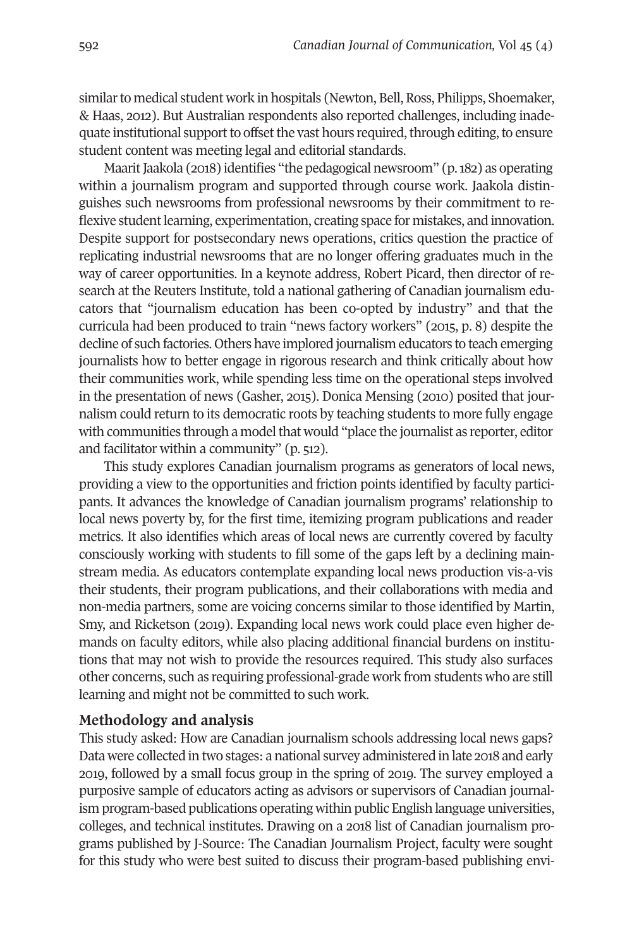similar to medical student work in hospitals (Newton, Bell, Ross, Philipps, Shoemaker, & Haas, 2012). But Australian respondents also reported challenges, including inadequate institutional support to offset the vast hours required, through editing, to ensure student content was meeting legal and editorial standards.

Maarit Jaakola (2018) identifies "the pedagogical newsroom" (p. 182) as operating within a journalism program and supported through course work. Jaakola distinguishes such newsrooms from professional newsrooms by their commitment to reflexive student learning, experimentation, creating space for mistakes, and innovation. Despite support for postsecondary news operations, critics question the practice of replicating industrial newsrooms that are no longer offering graduates much in the way of career opportunities. In a keynote address, Robert Picard, then director of research at the Reuters Institute, told a national gathering of Canadian journalism educators that "journalism education has been co-opted by industry" and that the curricula had been produced to train "news factory workers" (2015, p. 8) despite the decline of such factories. Others have implored journalism educators to teach emerging journalists how to better engage in rigorous research and think critically about how their communities work, while spending less time on the operational steps involved in the presentation of news (Gasher, 2015). Donica Mensing (2010) posited that journalism could return to its democratic roots by teaching students to more fully engage with communities through a model that would "place the journalist as reporter, editor and facilitator within a community" (p. 512).

This study explores Canadian journalism programs as generators of local news, providing a view to the opportunities and friction points identified by faculty participants. It advances the knowledge of Canadian journalism programs' relationship to local news poverty by, for the first time, itemizing program publications and reader metrics. It also identifies which areas of local news are currently covered by faculty consciously working with students to fill some of the gaps left by a declining mainstream media. As educators contemplate expanding local news production vis-a-vis their students, their program publications, and their collaborations with media and non-media partners, some are voicing concerns similar to those identified by Martin, Smy, and Ricketson (2019). Expanding local news work could place even higher demands on faculty editors, while also placing additional financial burdens on institutions that may not wish to provide the resources required. This study also surfaces other concerns, such as requiring professional-grade work from students who are still learning and might not be committed to such work.

#### **Methodology and analysis**

This study asked: How are Canadian journalism schools addressing local news gaps? Data were collected in two stages: a national survey administered in late 2018 and early 2019, followed by a small focus group in the spring of 2019. The survey employed a purposive sample of educators acting as advisors or supervisors of Canadian journalism program-based publications operating within public English language universities, [colleges](http://j-source.ca/article/college-programs/), and technical institutes. Drawing on a 2018 list of Canadian journalism programs published by J-Source: The Canadian Journalism Project, faculty were sought for this study who were best suited to discuss their program-based publishing envi-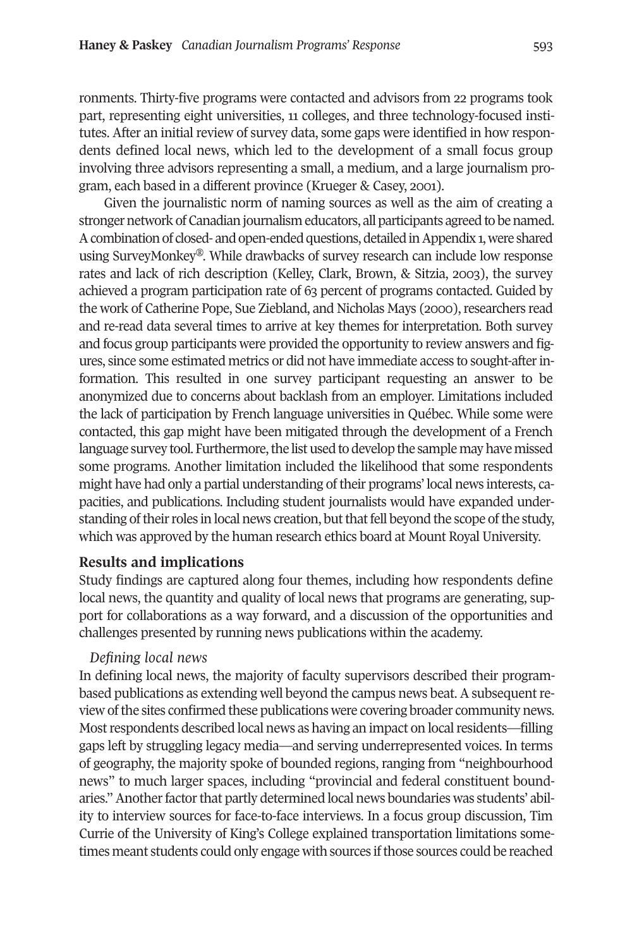ronments. Thirty-five programs were contacted and advisors from 22 programs took part, representing eight universities, 11 colleges, and three technology-focused institutes. After an initial review of survey data, some gaps were identified in how respondents defined local news, which led to the development of a small focus group involving three advisors representing a small, a medium, and a large journalism program, each based in a different province (Krueger & Casey, 2001).

Given the journalistic norm of naming sources as well as the aim of creating a stronger network of Canadian journalism educators, all participants agreed to be named. A combination of closed- and open-ended questions, detailed in Appendix 1, were shared using SurveyMonkey®. While drawbacks of survey research can include low response rates and lack of rich description (Kelley, Clark, Brown, & Sitzia, 2003), the survey achieved a program participation rate of 63 percent of programs contacted. Guided by the work of Catherine Pope, Sue Ziebland, and Nicholas Mays (2000), researchers read and re-read data several times to arrive at key themes for interpretation. Both survey and focus group participants were provided the opportunity to review answers and figures, since some estimated metrics or did not have immediate access to sought-afterinformation. This resulted in one survey participant requesting an answer to be anonymized due to concerns about backlash from an employer. Limitations included the lack of participation by French language universities in Québec. While some were contacted, this gap might have been mitigated through the development of a French language survey tool. Furthermore, the list used to develop the sample may have missed some programs. Another limitation included the likelihood that some respondents might have had only a partial understanding of their programs' local news interests, capacities, and publications. Including student journalists would have expanded understanding of their roles in local news creation, but that fell beyond the scope of the study, which was approved by the human research ethics board at Mount Royal University.

#### **Results and implications**

Study findings are captured along four themes, including how respondents define local news, the quantity and quality of local news that programs are generating, support for collaborations as a way forward, and a discussion of the opportunities and challenges presented by running news publications within the academy.

#### *Defining local news*

In defining local news, the majority of faculty supervisors described their programbased publications as extending well beyond the campus news beat. A subsequentreview ofthe sites confirmed these publications were covering broader community news. Most respondents described local news as having an impact on local residents—filling gaps left by struggling legacy media—and serving underrepresented voices. In terms of geography, the majority spoke of bounded regions, ranging from "neighbourhood news" to much larger spaces, including "provincial and federal constituent boundaries." Another factor that partly determined local news boundaries was students' ability to interview sources for face-to-face interviews. In a focus group discussion, Tim Currie of the University of King's College explained transportation limitations sometimes meant students could only engage with sources ifthose sources could be reached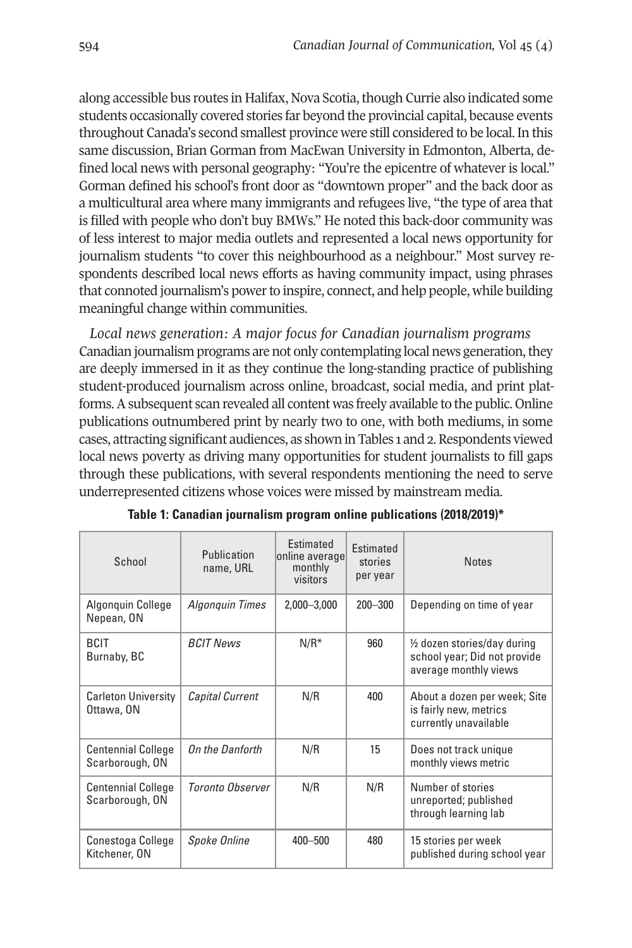along accessible bus routes in Halifax, Nova Scotia, though Currie also indicated some students occasionally covered stories far beyond the provincial capital, because events throughout Canada's second smallest province were still considered to be local.In this same discussion, Brian Gorman from MacEwan University in Edmonton, Alberta, defined local news with personal geography: "You're the epicentre of whatever is local." Gorman defined his school's front door as "downtown proper" and the back door as a multicultural area where many immigrants and refugees live, "the type of area that is filled with people who don't buy BMWs." He noted this back-door community was of less interest to major media outlets and represented a local news opportunity for journalism students "to cover this neighbourhood as a neighbour." Most survey respondents described local news efforts as having community impact, using phrases that connoted journalism's power to inspire, connect, and help people, while building meaningful change within communities.

*Local news generation: A major focus for Canadian journalism programs* Canadian journalism programs are not only contemplating local news generation, they are deeply immersed in it as they continue the long-standing practice of publishing student-produced journalism across online, broadcast, social media, and print platforms. A subsequent scan revealed all content was freely available to the public. Online publications outnumbered print by nearly two to one, with both mediums, in some cases, attracting significant audiences, as shown in Tables 1 and 2. Respondents viewed local news poverty as driving many opportunities for student journalists to fill gaps through these publications, with several respondents mentioning the need to serve underrepresented citizens whose voices were missed by mainstream media.

| School                                       | Publication<br>name, URL | <b>Fstimated</b><br>online average<br>monthly<br>visitors | Estimated<br>stories<br>per year | <b>Notes</b>                                                                          |
|----------------------------------------------|--------------------------|-----------------------------------------------------------|----------------------------------|---------------------------------------------------------------------------------------|
| Algonguin College<br>Nepean, ON              | <b>Algonguin Times</b>   | 2,000-3,000                                               | $200 - 300$                      | Depending on time of year                                                             |
| <b>BCIT</b><br>Burnaby, BC                   | <b>BCIT News</b>         | $N/R^*$                                                   | 960                              | 1/2 dozen stories/day during<br>school year; Did not provide<br>average monthly views |
| <b>Carleton University</b><br>Ottawa, ON     | <b>Capital Current</b>   | N/R                                                       | 400                              | About a dozen per week; Site<br>is fairly new, metrics<br>currently unavailable       |
| <b>Centennial College</b><br>Scarborough, ON | On the Danforth          | N/R                                                       | 15                               | Does not track unique<br>monthly views metric                                         |
| <b>Centennial College</b><br>Scarborough, ON | <b>Toronto Observer</b>  | N/R                                                       | N/R                              | Number of stories<br>unreported; published<br>through learning lab                    |
| Conestoga College<br>Kitchener, ON           | <b>Spoke Online</b>      | 400-500                                                   | 480                              | 15 stories per week<br>published during school year                                   |

| Table 1: Canadian journalism program online publications (2018/2019)* |  |
|-----------------------------------------------------------------------|--|
|-----------------------------------------------------------------------|--|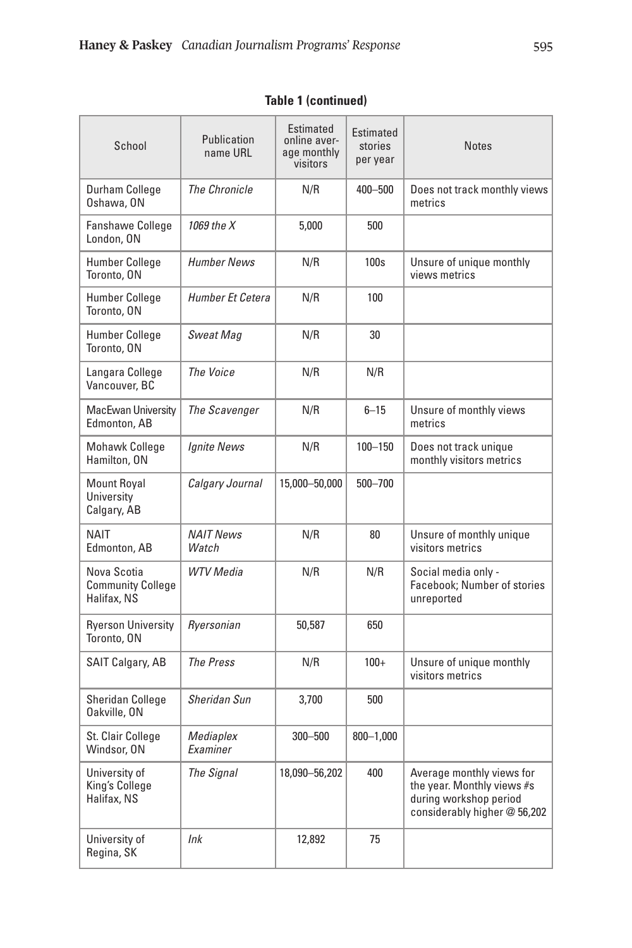| School                                                 | Publication<br>name URL   | Estimated<br>online aver-<br>age monthly<br>visitors | Estimated<br>stories<br>per year | <b>Notes</b>                                                                                                      |
|--------------------------------------------------------|---------------------------|------------------------------------------------------|----------------------------------|-------------------------------------------------------------------------------------------------------------------|
| Durham College<br>Oshawa, ON                           | <b>The Chronicle</b>      | N/R                                                  | 400-500                          | Does not track monthly views<br>metrics                                                                           |
| <b>Fanshawe College</b><br>London, ON                  | 1069 the X                | 5.000                                                | 500                              |                                                                                                                   |
| <b>Humber College</b><br>Toronto, ON                   | <b>Humber News</b>        | N/R                                                  | 100s                             | Unsure of unique monthly<br>views metrics                                                                         |
| <b>Humber College</b><br>Toronto, ON                   | Humber Et Cetera          | N/R                                                  | 100                              |                                                                                                                   |
| Humber College<br>Toronto, ON                          | Sweat Mag                 | N/R                                                  | 30                               |                                                                                                                   |
| Langara College<br>Vancouver, BC                       | The Voice                 | N/R                                                  | N/R                              |                                                                                                                   |
| MacEwan University<br>Edmonton, AB                     | The Scavenger             | N/R                                                  | $6 - 15$                         | Unsure of monthly views<br>metrics                                                                                |
| <b>Mohawk College</b><br>Hamilton, ON                  | <b>Ignite News</b>        | N/R                                                  | $100 - 150$                      | Does not track unique<br>monthly visitors metrics                                                                 |
| <b>Mount Royal</b><br>University<br>Calgary, AB        | Calgary Journal           | 15,000-50,000                                        | 500-700                          |                                                                                                                   |
| <b>NAIT</b><br>Edmonton, AB                            | <b>NAIT News</b><br>Watch | N/R                                                  | 80                               | Unsure of monthly unique<br>visitors metrics                                                                      |
| Nova Scotia<br><b>Community College</b><br>Halifax, NS | <b>WTV</b> Media          | N/R                                                  | N/R                              | Social media only -<br>Facebook; Number of stories<br>unreported                                                  |
| <b>Ryerson University</b><br>Toronto, ON               | Ryersonian                | 50,587                                               | 650                              |                                                                                                                   |
| SAIT Calgary, AB                                       | <b>The Press</b>          | N/R                                                  | $100+$                           | Unsure of unique monthly<br>visitors metrics                                                                      |
| <b>Sheridan College</b><br>Oakville, ON                | Sheridan Sun              | 3,700                                                | 500                              |                                                                                                                   |
| St. Clair College<br>Windsor, ON                       | Mediaplex<br>Examiner     | 300-500                                              | $800 - 1,000$                    |                                                                                                                   |
| University of<br>King's College<br>Halifax, NS         | The Signal                | 18,090-56,202                                        | 400                              | Average monthly views for<br>the year. Monthly views #s<br>during workshop period<br>considerably higher @ 56,202 |
| University of<br>Regina, SK                            | lnk                       | 12,892                                               | 75                               |                                                                                                                   |

# **Table 1 (continued)**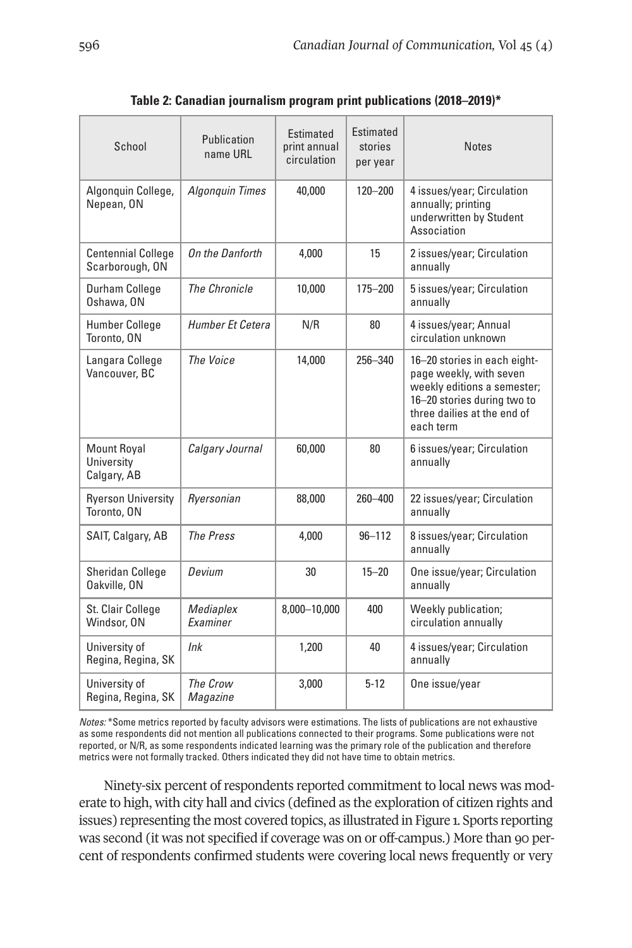| School                                          | Publication<br>name URL | Estimated<br>print annual<br>circulation | Estimated<br>stories<br>per year | <b>Notes</b>                                                                                                                                                      |
|-------------------------------------------------|-------------------------|------------------------------------------|----------------------------------|-------------------------------------------------------------------------------------------------------------------------------------------------------------------|
| Algonquin College,<br>Nepean, ON                | <b>Algonquin Times</b>  | 40,000                                   | $120 - 200$                      | 4 issues/year; Circulation<br>annually; printing<br>underwritten by Student<br>Association                                                                        |
| <b>Centennial College</b><br>Scarborough, ON    | On the Danforth         | 4.000                                    | 15                               | 2 issues/year; Circulation<br>annually                                                                                                                            |
| Durham College<br>Oshawa, ON                    | <b>The Chronicle</b>    | 10,000                                   | 175-200                          | 5 issues/year; Circulation<br>annually                                                                                                                            |
| Humber College<br>Toronto, ON                   | Humber Et Cetera        | N/R                                      | 80                               | 4 issues/year; Annual<br>circulation unknown                                                                                                                      |
| Langara College<br>Vancouver, BC                | <b>The Voice</b>        | 14,000                                   | 256-340                          | 16-20 stories in each eight-<br>page weekly, with seven<br>weekly editions a semester;<br>16-20 stories during two to<br>three dailies at the end of<br>each term |
| <b>Mount Royal</b><br>University<br>Calgary, AB | Calgary Journal         | 60,000                                   | 80                               | 6 issues/year; Circulation<br>annually                                                                                                                            |
| <b>Ryerson University</b><br>Toronto, ON        | Ryersonian              | 88,000                                   | $260 - 400$                      | 22 issues/year; Circulation<br>annually                                                                                                                           |
| SAIT, Calgary, AB                               | <b>The Press</b>        | 4,000                                    | $96 - 112$                       | 8 issues/year; Circulation<br>annually                                                                                                                            |
| <b>Sheridan College</b><br>Oakville, ON         | Devium                  | 30                                       | $15 - 20$                        | One issue/year; Circulation<br>annually                                                                                                                           |
| St. Clair College<br>Windsor, ON                | Mediaplex<br>Examiner   | 8,000-10,000                             | 400                              | Weekly publication;<br>circulation annually                                                                                                                       |
| University of<br>Regina, Regina, SK             | lnk                     | 1,200                                    | 40                               | 4 issues/year; Circulation<br>annually                                                                                                                            |
| University of<br>Regina, Regina, SK             | The Crow<br>Magazine    | 3,000                                    | $5 - 12$                         | One issue/year                                                                                                                                                    |

**Table 2: Canadian journalism program print publications (2018–2019)\***

*Notes:* \*Some metrics reported by faculty advisors were estimations. The lists of publications are not exhaustive as some respondents did not mention all publications connected to their programs. Some publications were not reported, or N/R, as some respondents indicated learning was the primary role of the publication and therefore metrics were not formally tracked. Others indicated they did not have time to obtain metrics.

Ninety-six percent of respondents reported commitment to local news was moderate to high, with city hall and civics (defined as the exploration of citizen rights and issues) representing the most covered topics, as illustrated in Figure 1. Sports reporting was second (it was not specified if coverage was on or off-campus.) More than 90 percent of respondents confirmed students were covering local news frequently or very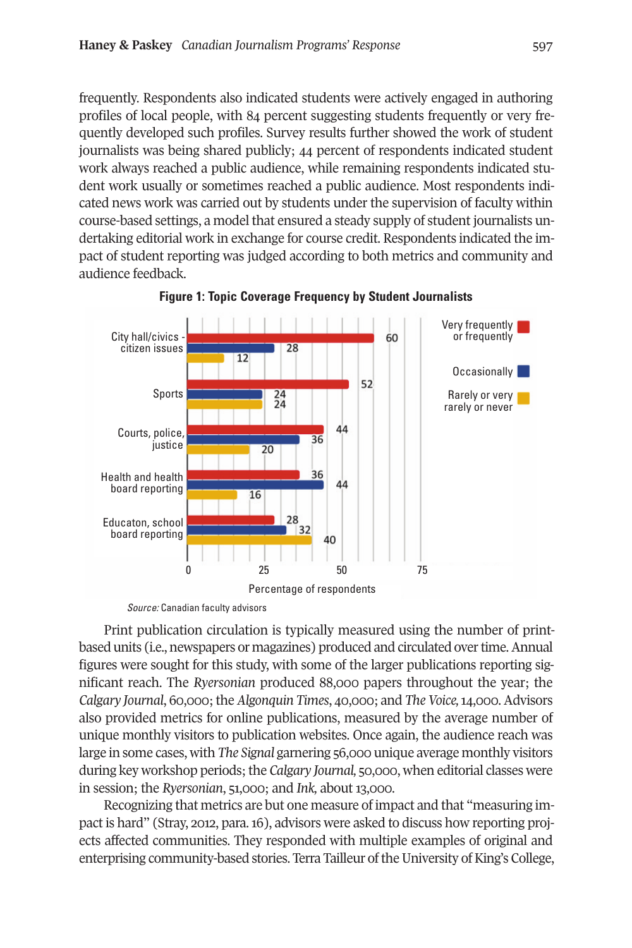frequently. Respondents also indicated students were actively engaged in authoring profiles of local people, with 84 percent suggesting students frequently or very frequently developed such profiles. Survey results further showed the work of student journalists was being shared publicly; 44 percent of respondents indicated student work always reached a public audience, while remaining respondents indicated student work usually or sometimes reached a public audience. Most respondents indicated news work was carried out by students under the supervision of faculty within course-based settings, a model that ensured a steady supply of student journalists undertaking editorial work in exchange for course credit. Respondents indicated the impact of student reporting was judged according to both metrics and community and audience feedback.



**Figure 1: Topic Coverage Frequency by Student Journalists**

*Source:* Canadian faculty advisors

Print publication circulation is typically measured using the number of printbased units (i.e., newspapers or magazines) produced and circulated over time. Annual figures were sought for this study, with some of the larger publications reporting significant reach. The *Ryersonian* produced 88,000 papers throughout the year; the *Calgary Journal*, 60,000;the *Algonquin Times*, 40,000; and *The Voice,*14,000.Advisors also provided metrics for online publications, measured by the average number of unique monthly visitors to publication websites. Once again, the audience reach was large in some cases, with *The Signal* garnering 56,000 unique average monthly visitors during key workshop periods;the *Calgary Journal,* 50,000, when editorial classes were in session; the *Ryersonian*, 51,000; and *Ink,* about 13,000.

Recognizing that metrics are but one measure of impact and that "measuring impact is hard" (Stray, 2012, para.16), advisors were asked to discuss how reporting projects affected communities. They responded with multiple examples of original and enterprising community-based stories. Terra Tailleur of the University of King's College,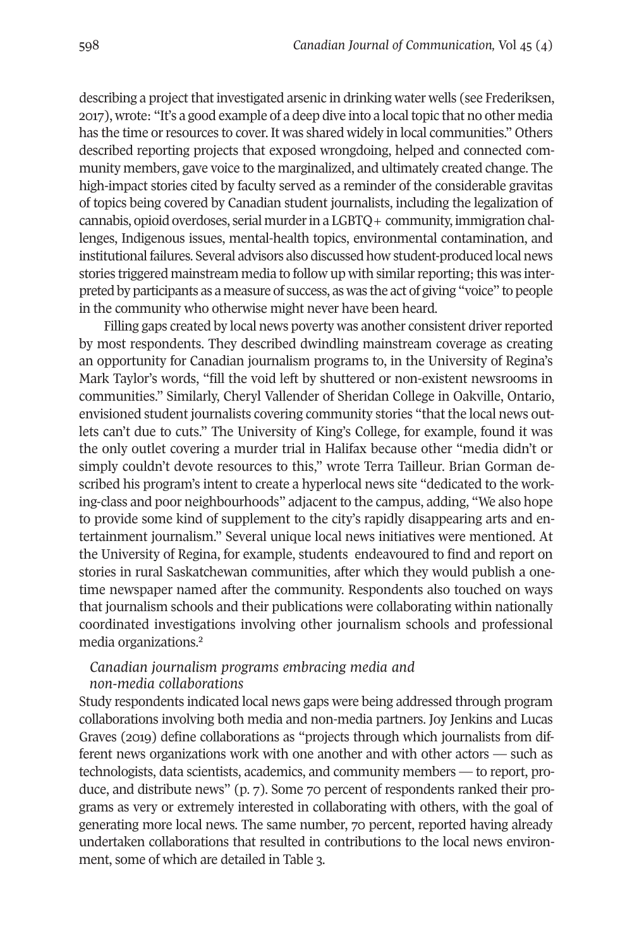describing a project that investigated arsenic in drinking water wells (see Frederiksen, 2017), wrote: "It's a good example of a deep dive into a localtopic that no other media has the time or resources to cover. It was shared widely in local communities." Others described reporting projects that exposed wrongdoing, helped and connected community members, gave voice to the marginalized, and ultimately created change. The high-impact stories cited by faculty served as a reminder of the considerable gravitas of topics being covered by Canadian student journalists, including the legalization of cannabis, opioid overdoses, serial murder in a  $LGBTQ+$  community, immigration challenges, Indigenous issues, mental-health topics, environmental contamination, and institutional failures. Several advisors also discussed how student-produced local news stories triggered mainstream media to follow up with similar reporting; this was interpreted by participants as a measure of success, as was the act of giving "voice" to people in the community who otherwise might never have been heard.

Filling gaps created by local news poverty was another consistent driver reported by most respondents. They described dwindling mainstream coverage as creating an opportunity for Canadian journalism programs to, in the University of Regina's Mark Taylor's words, "fill the void left by shuttered or non-existent newsrooms in communities." Similarly, Cheryl Vallender of Sheridan College in Oakville, Ontario, envisioned student journalists covering community stories "that the local news outlets can't due to cuts." The University of King's College, for example, found it was the only outlet covering a murder trial in Halifax because other "media didn't or simply couldn't devote resources to this," wrote Terra Tailleur. Brian Gorman described his program's intent to create a hyperlocal news site "dedicated to the working-class and poor neighbourhoods" adjacent to the campus, adding, "We also hope to provide some kind of supplement to the city's rapidly disappearing arts and entertainment journalism." Several unique local news initiatives were mentioned. At the University of Regina, for example, students endeavoured to find and report on stories in rural Saskatchewan communities, after which they would publish a onetime newspaper named after the community. Respondents also touched on ways that journalism schools and their publications were collaborating within nationally coordinated investi[ga](#page-15-1)tions involving other journalism schools and professional media organizations. 2

#### *Canadian journalism programs embracing media and non-media collaborations*

Study respondents indicated local news gaps were being addressed through program collaborations involving both media and non-media partners. Joy Jenkins and Lucas Graves (2019) define collaborations as "projects through which journalists from different news organizations work with one another and with other actors — such as technologists, data scientists, academics, and community members — to report, produce, and distribute news" (p. 7). Some 70 percent of respondents ranked their programs as very or extremely interested in collaborating with others, with the goal of generating more local news. The same number, 70 percent, reported having already undertaken collaborations that resulted in contributions to the local news environment, some of which are detailed in Table 3.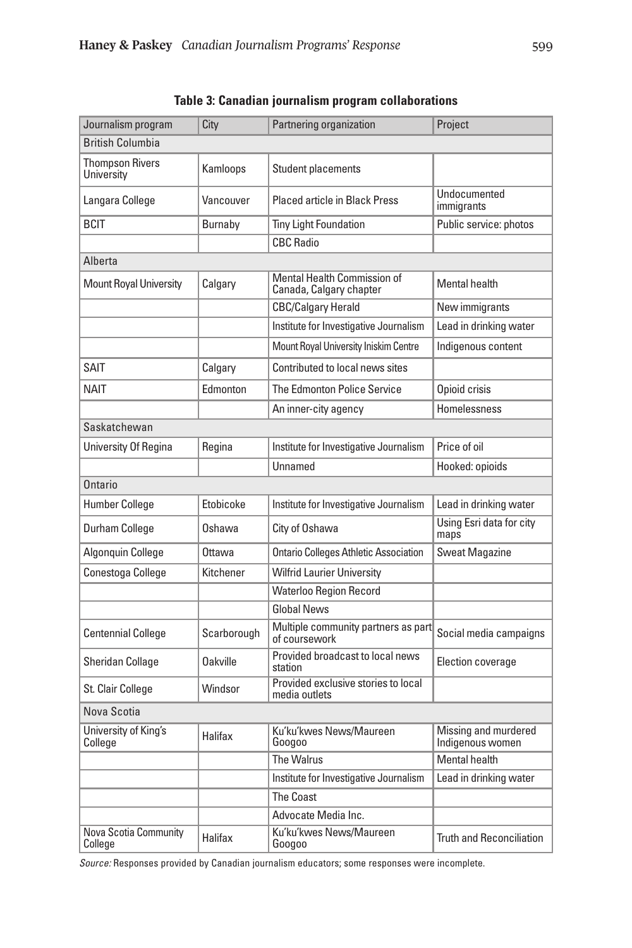| Journalism program                   | City            | Partnering organization                                       | Project                                  |  |
|--------------------------------------|-----------------|---------------------------------------------------------------|------------------------------------------|--|
| <b>British Columbia</b>              |                 |                                                               |                                          |  |
| <b>Thompson Rivers</b><br>University | Kamloops        | Student placements                                            |                                          |  |
| Langara College                      | Vancouver       | <b>Placed article in Black Press</b>                          | Undocumented<br>immigrants               |  |
| <b>BCIT</b>                          | Burnaby         | <b>Tiny Light Foundation</b>                                  | Public service: photos                   |  |
|                                      |                 | <b>CBC Radio</b>                                              |                                          |  |
| Alberta                              |                 |                                                               |                                          |  |
| <b>Mount Royal University</b>        | Calgary         | <b>Mental Health Commission of</b><br>Canada, Calgary chapter | <b>Mental health</b>                     |  |
|                                      |                 | <b>CBC/Calgary Herald</b>                                     | New immigrants                           |  |
|                                      |                 | Institute for Investigative Journalism                        | Lead in drinking water                   |  |
|                                      |                 | Mount Royal University Iniskim Centre                         | Indigenous content                       |  |
| <b>SAIT</b>                          | Calgary         | Contributed to local news sites                               |                                          |  |
| <b>NAIT</b>                          | Edmonton        | The Edmonton Police Service                                   | Opioid crisis                            |  |
|                                      |                 | An inner-city agency                                          | Homelessness                             |  |
| Saskatchewan                         |                 |                                                               |                                          |  |
| University Of Regina                 | Regina          | Institute for Investigative Journalism                        | Price of oil                             |  |
|                                      |                 | Unnamed                                                       | Hooked: opioids                          |  |
| Ontario                              |                 |                                                               |                                          |  |
| <b>Humber College</b>                | Etobicoke       | Institute for Investigative Journalism                        | Lead in drinking water                   |  |
| Durham College                       | Oshawa          | City of Oshawa                                                | Using Esri data for city<br>maps         |  |
| Algonquin College                    | Ottawa          | <b>Ontario Colleges Athletic Association</b>                  | <b>Sweat Magazine</b>                    |  |
| Conestoga College                    | Kitchener       | Wilfrid Laurier University                                    |                                          |  |
|                                      |                 | <b>Waterloo Region Record</b>                                 |                                          |  |
|                                      |                 | <b>Global News</b>                                            |                                          |  |
| <b>Centennial College</b>            | Scarborough     | Multiple community partners as part<br>of coursework          | Social media campaigns                   |  |
| <b>Sheridan Collage</b>              | <b>Oakville</b> | Provided broadcast to local news<br>station                   | Election coverage                        |  |
| St. Clair College                    | Windsor         | Provided exclusive stories to local<br>media outlets          |                                          |  |
| Nova Scotia                          |                 |                                                               |                                          |  |
| University of King's<br>College      | Halifax         | Ku'ku'kwes News/Maureen<br>Googoo                             | Missing and murdered<br>Indigenous women |  |
|                                      |                 | The Walrus                                                    | Mental health                            |  |
|                                      |                 | Institute for Investigative Journalism                        | Lead in drinking water                   |  |
|                                      |                 | <b>The Coast</b>                                              |                                          |  |
|                                      |                 | Advocate Media Inc.                                           |                                          |  |
| Nova Scotia Community<br>College     | Halifax         | Ku'ku'kwes News/Maureen<br>Googoo                             | <b>Truth and Reconciliation</b>          |  |

**Table 3: Canadian journalism program collaborations**

*Source:* Responses provided by Canadian journalism educators; some responses were incomplete.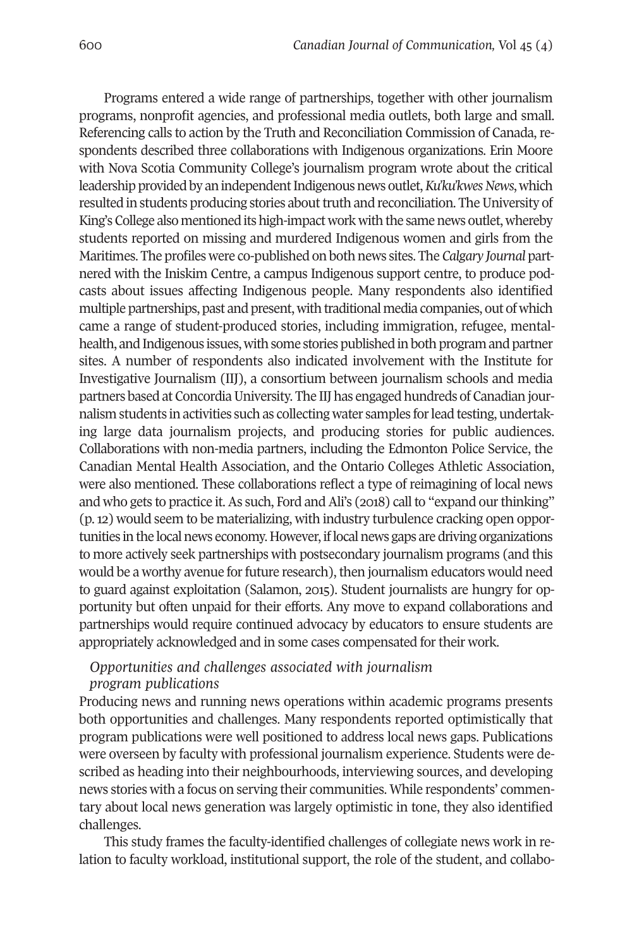Programs entered a wide range of partnerships, together with other journalism programs, nonprofit agencies, and professional media outlets, both large and small. Referencing calls to action by the Truth and Reconciliation Commission of Canada, respondents described three collaborations with Indigenous organizations. Erin Moore with Nova Scotia Community College's journalism program wrote about the critical leadership provided by an independent Indigenous news outlet, *Ku'ku'kwes News*, which resulted in students producing stories about truth and reconciliation. The University of King's College also mentioned its high-impact work with the same news outlet, whereby students reported on missing and murdered Indigenous women and girls from the Maritimes. The profiles were co-published on both news sites. The *Calgary Journal* partnered with the Iniskim Centre, a campus Indigenous support centre, to produce podcasts about issues affecting Indigenous people. Many respondents also identified multiple partnerships, past and present, with traditional media companies, out of which came a range of student-produced stories, including immigration, refugee, mentalhealth, and Indigenous issues, with some stories published in both program and partner sites. A number of respondents also indicated involvement with the Institute for Investigative Journalism (IIJ), a consortium between journalism schools and media partners based at Concordia University. The IIJ has engaged hundreds of Canadian journalism students in activities such as collecting water samples forlead testing, undertaking large data journalism projects, and producing stories for public audiences. Collaborations with non-media partners, including the Edmonton Police Service, the Canadian Mental Health Association, and the Ontario Colleges Athletic Association, were also mentioned. These collaborations reflect a type of reimagining of local news and who gets to practice it. As such, Ford and Ali's (2018) call to "expand our thinking" (p.12) would seem to be materializing, with industry turbulence cracking open opportunities in the local news economy. However, if local news gaps are driving organizations to more actively seek partnerships with postsecondary journalism programs (and this would be a worthy avenue for future research), then journalism educators would need to guard against exploitation (Salamon, 2015). Student journalists are hungry for opportunity but often unpaid for their efforts. Any move to expand collaborations and partnerships would require continued advocacy by educators to ensure students are appropriately acknowledged and in some cases compensated for their work.

# *Opportunities and challenges associated with journalism*

#### *program publications*

Producing news and running news operations within academic programs presents both opportunities and challenges. Many respondents reported optimistically that program publications were well positioned to address local news gaps. Publications were overseen by faculty with professional journalism experience. Students were described as heading into their neighbourhoods, interviewing sources, and developing news stories with a focus on serving their communities. While respondents' commentary about local news generation was largely optimistic in tone, they also identified challenges.

This study frames the faculty-identified challenges of collegiate news work in relation to faculty workload, institutional support, the role of the student, and collabo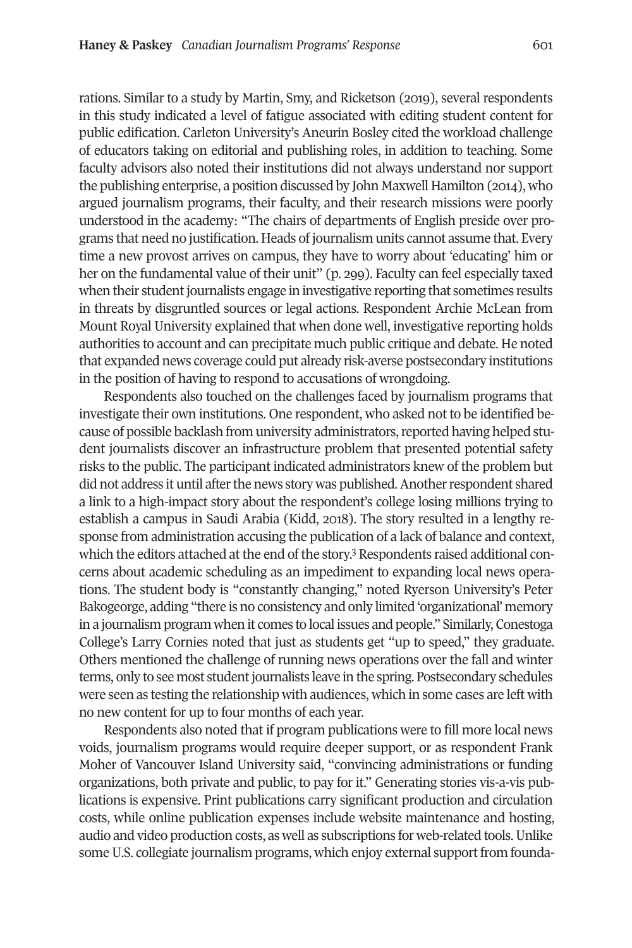rations. Similar to a study by Martin, Smy, and Ricketson (2019), several respondents in this study indicated a level of fatigue associated with editing student content for public edification. Carleton University's Aneurin Bosley cited the workload challenge of educators taking on editorial and publishing roles, in addition to teaching. Some faculty advisors also noted their institutions did not always understand nor support the publishing enterprise, a position discussed by John Maxwell Hamilton (2014), who argued journalism programs, their faculty, and their research missions were poorly understood in the academy: "The chairs of departments of English preside over programs that need no justification. Heads of journalism units cannot assume that. Every time a new provost arrives on campus, they have to worry about 'educating' him or her on the fundamental value of their unit" (p. 299). Faculty can feel especially taxed when their student journalists engage in investigative reporting that sometimes results in threats by disgruntled sources or legal actions. Respondent Archie McLean from Mount Royal University explained that when done well, investigative reporting holds authorities to account and can precipitate much public critique and debate. He noted that expanded news coverage could put already risk-averse postsecondary institutions in the position of having to respond to accusations of wrongdoing.

Respondents also touched on the challenges faced by journalism programs that investigate their own institutions. One respondent, who asked not to be identified because of possible backlash from university administrators, reported having helped student journalists discover an infrastructure problem that presented potential safety risks to the public. The participant indicated administrators knew of the problem but did not address it until after the news story was published. Another respondent shared a link to a high-impact story about the respondent's college losing millions trying to establish a campus in Saudi Arabia (Kidd, 2018). The story resulted in a lengthy response from administration accusing the public[ati](#page-16-0)on of a lack of balance and context, which the editors attached at the end of the story.<sup>3</sup> Respondents raised additional concerns about academic scheduling as an impediment to expanding local news operations. The student body is "constantly changing," noted Ryerson University's Peter Bakogeorge, adding "there is no consistency and only limited 'organizational' memory in a journalism program when it comes to local issues and people." Similarly, Conestoga College's Larry Cornies noted that just as students get "up to speed," they graduate. Others mentioned the challenge of running news operations over the fall and winter terms, only to see most student journalists leave in the spring. Postsecondary schedules were seen as testing the relationship with audiences, which in some cases are left with no new content for up to four months of each year.

Respondents also noted that if program publications were to fill more local news voids, journalism programs would require deeper support, or as respondent Frank Moher of Vancouver Island University said, "convincing administrations or funding organizations, both private and public, to pay for it." Generating stories vis-a-vis publications is expensive. Print publications carry significant production and circulation costs, while online publication expenses include website maintenance and hosting, audio and video production costs, as well as subscriptions for web-related tools. Unlike some U.S. collegiate journalism programs, which enjoy external support from founda-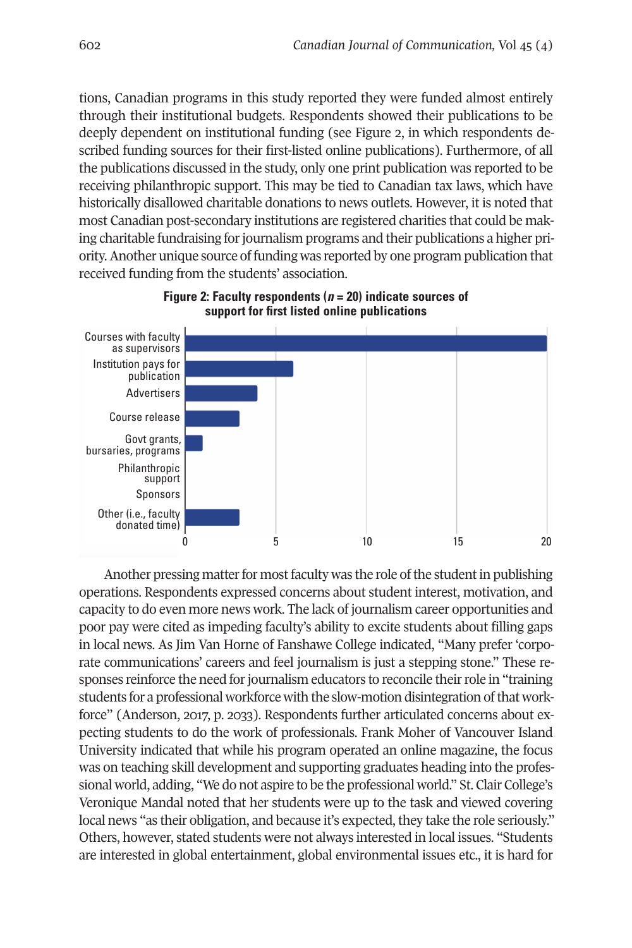tions, Canadian programs in this study reported they were funded almost entirely through their institutional budgets. Respondents showed their publications to be deeply dependent on institutional funding (see Figure 2, in which respondents described funding sources for their first-listed online publications). Furthermore, of all the publications discussed in the study, only one print publication was reported to be receiving philanthropic support. This may be tied to Canadian tax laws, which have historically disallowed charitable donations to news outlets. However, it is noted that most Canadian post-secondary institutions are registered charities that could be making charitable fundraising for journalism programs and their publications a higher priority.Another unique source of funding was reported by one program publication that received funding from the students' association.



**Figure 2: Faculty respondents (***n* **= 20) indicate sources of support for first listed online publications**

Another pressing matter for most faculty was the role of the student in publishing operations. Respondents expressed concerns about student interest, motivation, and capacity to do even more news work. The lack of journalism career opportunities and poor pay were cited as impeding faculty's ability to excite students about filling gaps in local news. As Jim Van Horne of Fanshawe College indicated, "Many prefer 'corporate communications' careers and feel journalism is just a stepping stone." These responses reinforce the need for journalism educators to reconcile their role in "training students for a professional workforce with the slow-motion disintegration ofthat workforce" (Anderson, 2017, p. 2033). Respondents further articulated concerns about expecting students to do the work of professionals. Frank Moher of Vancouver Island University indicated that while his program operated an online magazine, the focus was on teaching skill development and supporting graduates heading into the professional world, adding, "We do not aspire to be the professional world." St. Clair College's Veronique Mandal noted that her students were up to the task and viewed covering local news "as their obligation, and because it's expected, they take the role seriously." Others, however, stated students were not always interested in local issues. "Students are interested in global entertainment, global environmental issues etc., it is hard for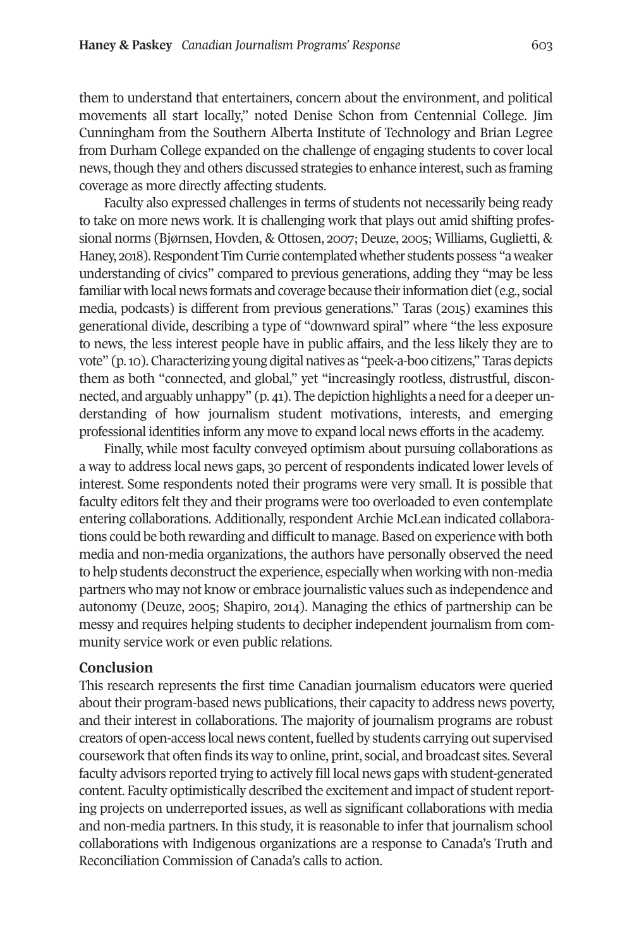them to understand that entertainers, concern about the environment, and political movements all start locally," noted Denise Schon from Centennial College. Jim Cunningham from the Southern Alberta Institute of Technology and Brian Legree from Durham College expanded on the challenge of engaging students to cover local news, though they and others discussed strategies to enhance interest, such as framing coverage as more directly affecting students.

Faculty also expressed challenges in terms of students not necessarily being ready to take on more news work. It is challenging work that plays out amid shifting professional norms (Bjørnsen, Hovden, & Ottosen, 2007; Deuze, 2005; Williams, Guglietti, & Haney, 2018). Respondent Tim Currie contemplated whether students possess "a weaker understanding of civics" compared to previous generations, adding they "may be less familiar with local news formats and coverage because their information diet (e.g., social media, podcasts) is different from previous generations." Taras (2015) examines this generational divide, describing a type of "downward spiral" where "the less exposure to news, the less interest people have in public affairs, and the less likely they are to vote" (p. 10). Characterizing young digital natives as "peek-a-boo citizens," Taras depicts them as both "connected, and global," yet "increasingly rootless, distrustful, disconnected, and arguably unhappy" (p. 41). The depiction highlights a need for a deeper understanding of how journalism student motivations, interests, and emerging professional identities inform any move to expand local news efforts in the academy.

Finally, while most faculty conveyed optimism about pursuing collaborations as a way to address local news gaps, 30 percent of respondents indicated lower levels of interest. Some respondents noted their programs were very small. It is possible that faculty editors felt they and their programs were too overloaded to even contemplate entering collaborations. Additionally, respondent Archie McLean indicated collaborations could be both rewarding and difficult to manage. Based on experience with both media and non-media organizations, the authors have personally observed the need to help students deconstruct the experience, especially when working with non-media partners who may not know or embrace journalistic values such as independence and autonomy (Deuze, 2005; Shapiro, 2014). Managing the ethics of partnership can be messy and requires helping students to decipher independent journalism from community service work or even public relations.

#### **Conclusion**

This research represents the first time Canadian journalism educators were queried about their program-based news publications, their capacity to address news poverty, and their interest in collaborations. The majority of journalism programs are robust creators of open-access local news content, fuelled by students carrying out supervised coursework that often finds its way to online, print, social, and broadcast sites. Several faculty advisors reported trying to actively fill local news gaps with student-generated content. Faculty optimistically described the excitement and impact of studentreporting projects on underreported issues, as well as significant collaborations with media and non-media partners. In this study, it is reasonable to infer that journalism school collaborations with Indigenous organizations are a response to Canada's Truth and Reconciliation Commission of Canada's calls to action.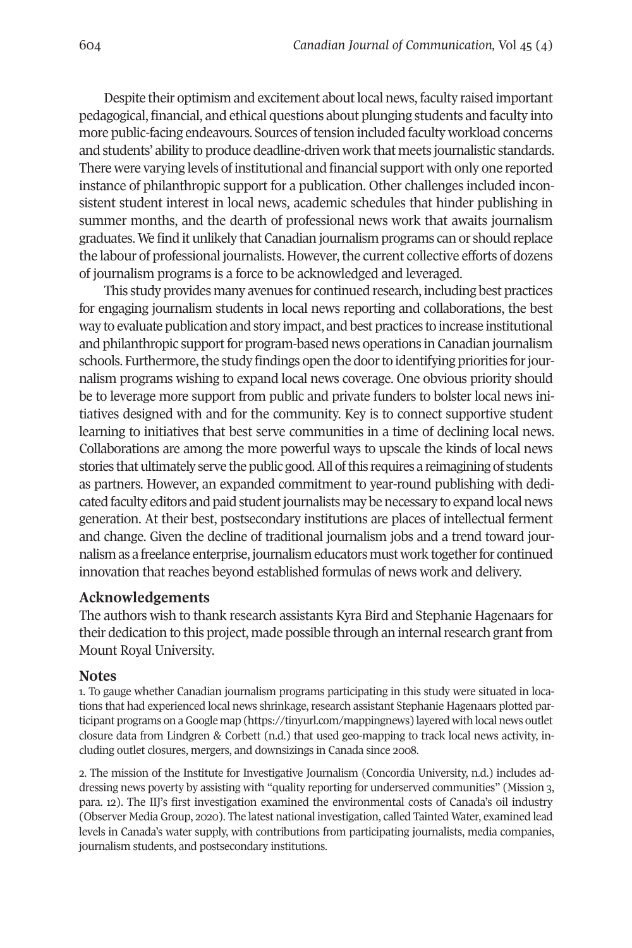Despite their optimism and excitement about local news, faculty raised important pedagogical, financial, and ethical questions about plunging students and faculty into more public-facing endeavours. Sources of tension included faculty workload concerns and students' ability to produce deadline-driven work that meets journalistic standards. There were varying levels of institutional and financial support with only one reported instance of philanthropic support for a publication. Other challenges included inconsistent student interest in local news, academic schedules that hinder publishing in summer months, and the dearth of professional news work that awaits journalism graduates. We find it unlikely that Canadian journalism programs can or should replace the labour of professional journalists. However, the current collective efforts of dozens of journalism programs is a force to be acknowledged and leveraged.

This study provides many avenues for continued research, including best practices for engaging journalism students in local news reporting and collaborations, the best way to evaluate publication and story impact, and best practices to increase institutional and philanthropic support for program-based news operations in Canadian journalism schools. Furthermore, the study findings open the door to identifying priorities for journalism programs wishing to expand local news coverage. One obvious priority should be to leverage more support from public and private funders to bolster local news initiatives designed with and for the community. Key is to connect supportive student learning to initiatives that best serve communities in a time of declining local news. Collaborations are among the more powerful ways to upscale the kinds of local news stories that ultimately serve the public good. All of this requires a reimagining of students as partners. However, an expanded commitment to year-round publishing with dedicated faculty editors and paid student journalists may be necessary to expand local news generation. At their best, postsecondary institutions are places of intellectual ferment and change. Given the decline of traditional journalism jobs and a trend toward journalism as a freelance enterprise, journalism educators must work together for continued innovation that reaches beyond established formulas of news work and delivery.

#### **Acknowledgements**

The authors wish to thank research assistants Kyra Bird and Stephanie Hagenaars for their dedication to this project, made possible through an internal research grant from Mount Royal University.

#### **Notes**

<span id="page-15-0"></span>1. To gauge whether Canadian journalism programs participating in this study were situated in locations that had experienced local news shrinkage, research assistant Stephanie Hagenaars plotted participant programs on aGoogle [map](https://tinyurl.com/mappingnews) [\(https://tinyurl.com/mappingnews\)](https://tinyurl.com/mappingnews) layered with local news outlet closure data from Lindgren & Corbett (n.d.) that used geo-mapping to track local news activity, including outlet closures, mergers, and downsizings in Canada since 2008.

<span id="page-15-1"></span>2. The mission of the Institute for Investigative Journalism (Concordia University, n.d.) includes addressing news poverty by assisting with "quality reporting for underserved communities" (Mission 3, para. 12). The IIJ's first investigation examined the environmental costs of Canada's oil industry (Observer Media Group, 2020). The latest national investigation, called Tainted Water, examined lead levels in Canada's water supply, with contributions from participating journalists, media companies, journalism students, and postsecondary institutions.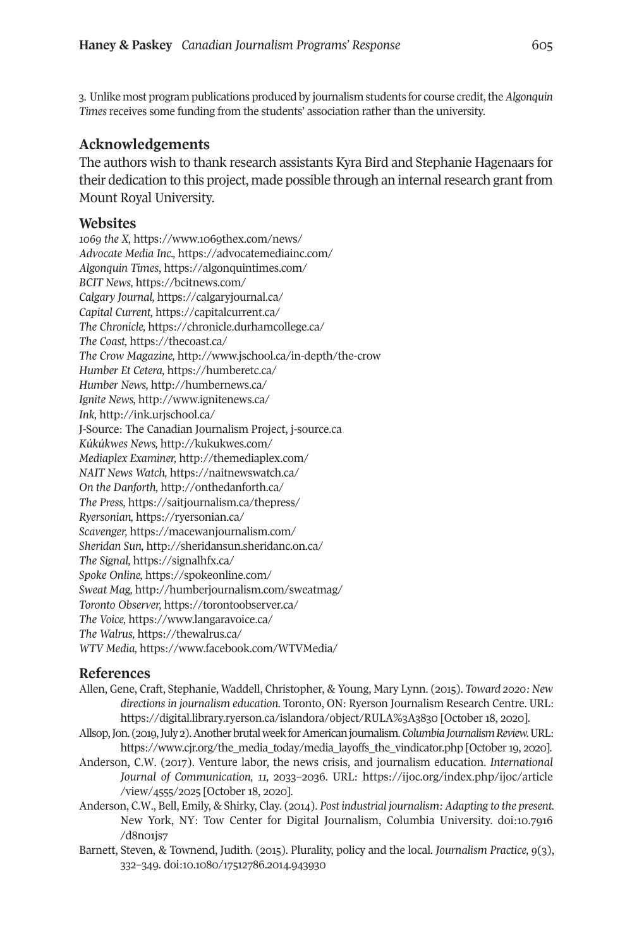<span id="page-16-0"></span>3. Unlike most program publications produced by journalism students for course credit, the *Algonquin Times* receives some funding from the students' association rather than the university.

#### **Acknowledgements**

The authors wish to thank research assistants Kyra Bird and Stephanie Hagenaars for their dedication to this project, made possible through an internal research grant from Mount Royal University.

#### **Websites**

*1069 the X,* <https://www.1069thex.com/news/> *Advocate Media Inc.,* <https://advocatemediainc.com/> *Algonquin Times*, <https://algonquintimes.com/> *BCIT News,* <https://bcitnews.com/> *Calgary Journal,* <https://calgaryjournal.ca/> *Capital Current,* <https://capitalcurrent.ca/> *The Chronicle,* <https://chronicle.durhamcollege.ca/> *The Coast,* <https://thecoast.ca/> *The Crow Magazine,* <http://www.jschool.ca/in-depth/the-crow> *Humber Et Cetera,* <https://humberetc.ca/> *Humber News,* <http://humbernews.ca/> *Ignite News,* <http://www.ignitenews.ca/> *Ink,* <http://ink.urjschool.ca/> J-Source: The Canadian Journalism Project, [j-source.ca](http://j-source.ca) *Kúkúkwes News,* <http://kukukwes.com/> *Mediaplex Examiner,* <http://themediaplex.com/> *NAIT News Watch,* <https://naitnewswatch.ca/> *On the Danforth,* <http://onthedanforth.ca/> *The Press,* <https://saitjournalism.ca/thepress/> *Ryersonian,* <https://ryersonian.ca/> *Scavenger,* <https://macewanjournalism.com/> *Sheridan Sun,* <http://sheridansun.sheridanc.on.ca/> *The Signal,* <https://signalhfx.ca/> *Spoke Online,* <https://spokeonline.com/> *Sweat Mag,* <http://humberjournalism.com/sweatmag/> *Toronto Observer,* <https://torontoobserver.ca/> *The Voice,* <https://www.langaravoice.ca/> *The Walrus,* <https://thewalrus.ca/> *WTV Media,* <https://www.facebook.com/WTVMedia/>

#### **References**

- Allen, Gene, Craft, Stephanie, Waddell, Christopher, & Young, Mary Lynn. (2015). *Toward 2020: New directions in journalism education.* Toronto, ON: Ryerson Journalism Research Centre. URL: <https://digital.library.ryerson.ca/islandora/object/RULA%3A3830> [October 18, 2020].
- Allsop,Jon. (2019,July 2).AnotherbrutalweekforAmericanjournalism.*ColumbiaJournalismReview.*URL: [https://www.cjr.org/the\\_media\\_today/media\\_layoffs\\_the\\_vindicator.php](https://www.cjr.org/the_media_today/media_layoffs_the_vindicator.php) [October 19, 2020].
- Anderson, C.W. (2017). Venture labor, the news crisis, and journalism education. *International Journal of Communication, 11,* 2033–2036. URL: [https://ijoc.org/index.php/ijoc/article](https://ijoc.org/index.php/ijoc/article/view/4555/2025) [/view/4555/2025](https://ijoc.org/index.php/ijoc/article/view/4555/2025) [October 18, 2020].
- Anderson, C.W., Bell, Emily, & Shirky, Clay. (2014). *Post industrial journalism: Adapting to the present.* New York, NY: Tow Center for Digital Journalism, Columbia University. doi[:10.7916](https://doi.org/10.7916/d8n01js7 ) [/d8n01js7](https://doi.org/10.7916/d8n01js7 )
- Barnett, Steven, & Townend, Judith. (2015). Plurality, policy and the local. *Journalism Practice, 9*(3), 332–349. doi[:10.1080/17512786.2014.943930](https://doi.org/10.1080/17512786.2014.943930)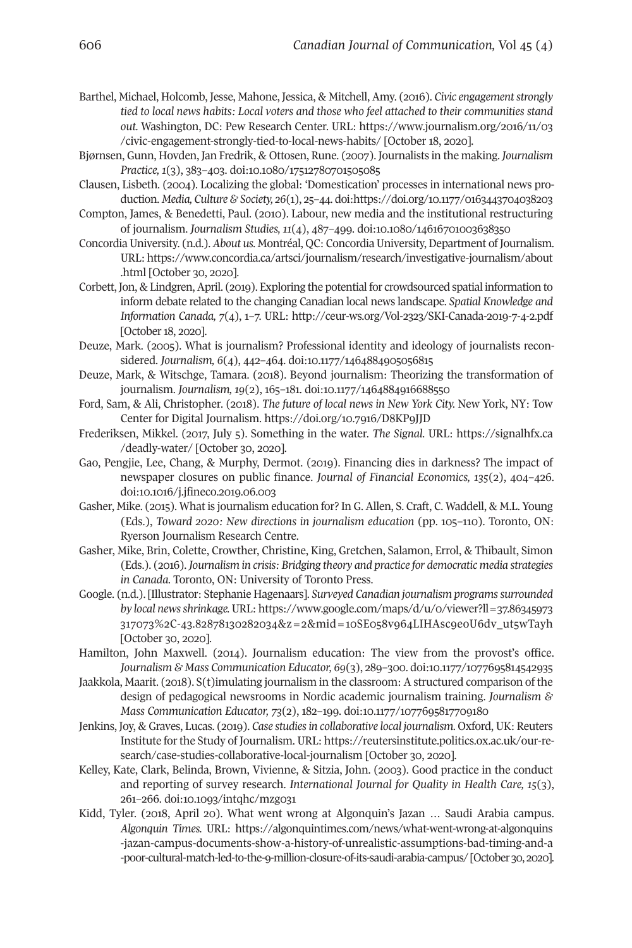- Barthel, Michael, Holcomb, Jesse, Mahone, Jessica, & Mitchell, Amy. (2016). *Civic engagementstrongly tied to local news habits: Local voters and those who feel attached to their communities stand out.* Washington, DC: Pew Research Center. URL: [https://www.journalism.org/2016/11/03](https://www.journalism.org/2016/11/03/civic-engagement-strongly-tied-to-local-news-habits/) [/civic-engagement-strongly-tied-to-local-news-habits/](https://www.journalism.org/2016/11/03/civic-engagement-strongly-tied-to-local-news-habits/) [October 18, 2020].
- Bjørnsen, Gunn, Hovden, Jan Fredrik, & Ottosen, Rune. (2007). Journalists in the making. *Journalism Practice, 1*(3), 383–403. doi[:10.1080/17512780701505085](https://doi.org/10.1080/17512780701505085)
- Clausen, Lisbeth. (2004). Localizing the global: 'Domestication' processes in international news production. *Media, Culture & Society, 26*(1), 25–44. doi[:https://doi.org/10.1177/0163443704038203](https://doi.org/10.1177/0163443704038203)
- Compton, James, & Benedetti, Paul. (2010). Labour, new media and the institutional restructuring of journalism. *Journalism Studies, 11*(4), 487–499. doi[:10.1080/14616701003638350](https://doi.org/10.1080/14616701003638350)
- ConcordiaUniversity. (n.d.). *About us.* Montréal, QC: ConcordiaUniversity,Department of Journalism. URL: [https://www.concordia.ca/artsci/journalism/research/investigative-journalism/about](https://www.concordia.ca/artsci/journalism/research/investigative-journalism/about.html) [.html](https://www.concordia.ca/artsci/journalism/research/investigative-journalism/about.html) [October 30, 2020].
- Corbett, Jon, & Lindgren, April. (2019). Exploring the potential for crowdsourced spatial information to inform debate related to the changing Canadian local news landscape. *Spatial Knowledge and Information Canada, 7*(4), 1–7. URL: <http://ceur-ws.org/Vol-2323/SKI-Canada-2019-7-4-2.pdf> [October 18, 2020].
- Deuze, Mark. (2005). What is journalism? Professional identity and ideology of journalists reconsidered. *Journalism, 6*(4), 442–464. doi[:10.1177/1464884905056815](https://doi.org/10.1177/1464884905056815)
- Deuze, Mark, & Witschge, Tamara. (2018). Beyond journalism: Theorizing the transformation of journalism. *Journalism, 19*(2), 165–181. doi[:10.1177/1464884916688550](https://doi.org/10.1177/1464884916688550)
- Ford, Sam, & Ali, Christopher. (2018). *The future of local news in New York City.* New York, NY: Tow Center for Digital Journalism. <https://doi.org/10.7916/D8KP9JJD>
- Frederiksen, Mikkel. (2017, July 5). Something in the water. *The Signal.* URL: [https://signalhfx.ca](https://signalhfx.ca/deadly-water/) [/deadly-water/](https://signalhfx.ca/deadly-water/) [October 30, 2020].
- Gao, Pengjie, Lee, Chang, & Murphy, Dermot. (2019). Financing dies in darkness? The impact of newspaper closures on public finance. *Journal of Financial Economics, 135*(2), 404–426. doi[:10.1016/j.jfineco.2019.06.003](https://doi.org/10.1016/j.jfineco.2019.06.003)
- Gasher, Mike. (2015). What is journalism education for? In G. Allen, S. Craft, C. Waddell, & M.L. Young (Eds.), *Toward 2020: New directions in journalism education* (pp. 105–110). Toronto, ON: Ryerson Journalism Research Centre.
- Gasher, Mike, Brin, Colette, Crowther, Christine, King, Gretchen, Salamon, Errol, & Thibault, Simon (Eds.). (2016). *Journalism in crisis: Bridging theory and practice for democratic media strategies in Canada.* Toronto, ON: University of Toronto Press.
- Google. (n.d.). [Illustrator: Stephanie Hagenaars]. *Surveyed Canadian journalism programssurrounded by local newsshrinkage.* URL: [https://www.google.com/maps/d/u/0/viewer?ll=37.86345973](https://www.google.com/maps/d/u/0/viewer?ll=37.86345973317073%2C-43.82878130282034&z=2&mid=10SE058v964LIHAsc9eoU6dv_ut5wTayh) [317073%2C-43.82878130282034&z=2&mid=10SE058v964LIHAsc9eoU6dv\\_ut5wTayh](https://www.google.com/maps/d/u/0/viewer?ll=37.86345973317073%2C-43.82878130282034&z=2&mid=10SE058v964LIHAsc9eoU6dv_ut5wTayh) [October 30, 2020].
- Hamilton, John Maxwell. (2014). Journalism education: The view from the provost's office. *Journalism & Mass Communication Educator, 69*(3), 289–300. doi[:10.1177/1077695814542935](https://doi.org/10.1177/1077695814542935)
- Jaakkola, Maarit. (2018). S(t)imulating journalism in the classroom: A structured comparison of the design of pedagogical newsrooms in Nordic academic journalism training. *Journalism & Mass Communication Educator, 73*(2), 182–199. doi[:10.1177/1077695817709180](https://doi.org/10.1177/1077695817709180)
- Jenkins, Joy, & Graves, Lucas. (2019). *Case studiesin collaborative local journalism*. Oxford, UK: Reuters Institute forthe Study of Journalism. URL: [https://reutersinstitute.politics.ox.ac.uk/our-re](https://reutersinstitute.politics.ox.ac.uk/our-research/case-studies-collaborative-local-journalism)[search/case-studies-collaborative-local-journalism](https://reutersinstitute.politics.ox.ac.uk/our-research/case-studies-collaborative-local-journalism) [October 30, 2020].
- Kelley, Kate, Clark, Belinda, Brown, Vivienne, & Sitzia, John. (2003). Good practice in the conduct and reporting of survey research. *International Journal for Quality in Health Care, 15*(3), 261–266. doi[:10.1093/intqhc/mzg031](http://doi.org/10.1093/intqhc/mzg031)
- Kidd, Tyler. (2018, April 20). What went wrong at Algonquin's Jazan … Saudi Arabia campus. *Algonquin Times.* URL: [https://algonquintimes.com/news/what-went-wrong-at-algonquins](https://algonquintimes.com/news/what-went-wrong-at-algonquins-jazan-campus-documents-show-a-history-of-unrealistic-assumptions-bad-timing-and-a-poor-cultural-match-led-to-the-9-million-closure-of-its-saudi-arabia-campus/) [-jazan-campus-documents-show-a-history-of-unrealistic-assumptions-bad-timing-and-a](https://algonquintimes.com/news/what-went-wrong-at-algonquins-jazan-campus-documents-show-a-history-of-unrealistic-assumptions-bad-timing-and-a-poor-cultural-match-led-to-the-9-million-closure-of-its-saudi-arabia-campus/) [-poor-cultural-match-led-to-the-9-million-closure-of-its-saudi-arabia-campus/](https://algonquintimes.com/news/what-went-wrong-at-algonquins-jazan-campus-documents-show-a-history-of-unrealistic-assumptions-bad-timing-and-a-poor-cultural-match-led-to-the-9-million-closure-of-its-saudi-arabia-campus/) [October 30, 2020].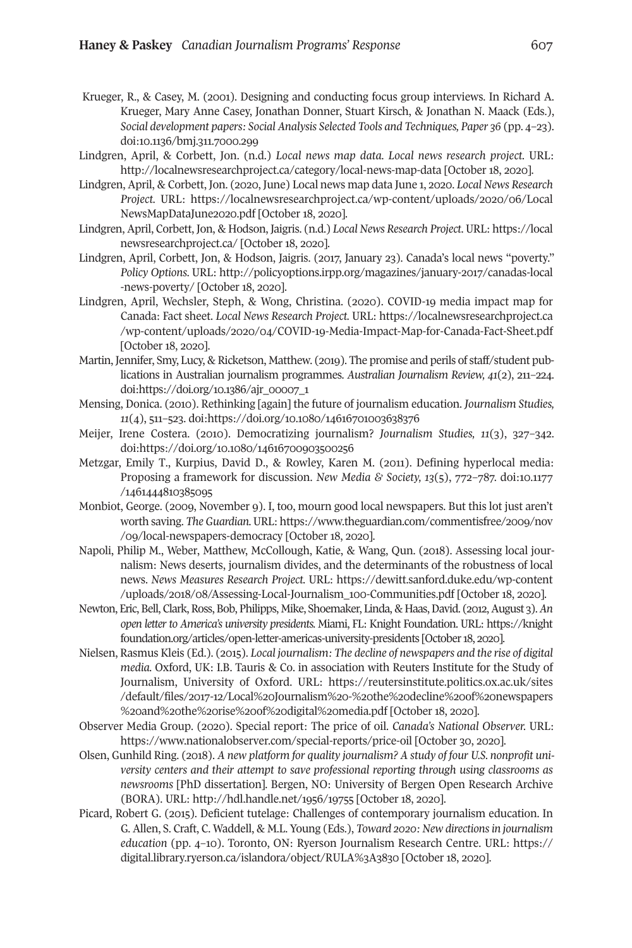- Krueger, R., & Casey, M. (2001). Designing and conducting focus group interviews. In Richard A. Krueger, Mary Anne Casey, Jonathan Donner, Stuart Kirsch, & Jonathan N. Maack (Eds.), *Social development papers: Social Analysis Selected Tools and Techniques, Paper 36* (pp. 4–23). doi[:10.1136/bmj.311.7000.299](https://doi.org/10.1136/bmj.311.7000.299)
- Lindgren, April, & Corbett, Jon. (n.d.) *Local news map data. Local news research project.* URL: <http://localnewsresearchproject.ca/category/local-news-map-data> [October 18, 2020].
- Lindgren, April, & Corbett, Jon. (2020, June) Local news map data June 1, 2020. *Local News Research Project.* URL: [https://localnewsresearchproject.ca/wp-content/uploads/2020/06/Local](https://localnewsresearchproject.ca/wp-content/uploads/2020/06/LocalNewsMapDataJune2020.pdf) [NewsMapDataJune2020.pdf](https://localnewsresearchproject.ca/wp-content/uploads/2020/06/LocalNewsMapDataJune2020.pdf) [October 18, 2020].
- Lindgren, April, Corbett, Jon, & Hodson, Jaigris. (n.d.) *Local News Research Project*. URL: [https://local](https://localnewsresearchproject.ca) [newsresearchproject.ca/](https://localnewsresearchproject.ca) [October 18, 2020].
- Lindgren, April, Corbett, Jon, & Hodson, Jaigris. (2017, January 23). Canada's local news "poverty." *Policy Options.* URL: [http://policyoptions.irpp.org/magazines/january-2017/canadas-local](http://policyoptions.irpp.org/magazines/january-2017/canadas-local-news-poverty/) [-news-poverty/](http://policyoptions.irpp.org/magazines/january-2017/canadas-local-news-poverty/) [October 18, 2020].
- Lindgren, April, Wechsler, Steph, & Wong, Christina. (2020). COVID-19 media impact map for Canada: Fact sheet. *Local News Research Project.* URL: [https://localnewsresearchproject.ca](https://localnewsresearchproject.ca/wp-content/uploads/2020/04/COVID-19-Media-Impact-Map-for-Canada-Fact-Sheet.pdf) [/wp-content/uploads/2020/04/COVID-19-Media-Impact-Map-for-Canada-Fact-Sheet.pdf](https://localnewsresearchproject.ca/wp-content/uploads/2020/04/COVID-19-Media-Impact-Map-for-Canada-Fact-Sheet.pdf) [October 18, 2020].
- Martin, Jennifer, Smy, Lucy, & Ricketson, Matthew. (2019). The promise and perils of staff/student publications in Australian journalism programmes. *Australian Journalism Review, 41*(2), 211–224. doi[:https://doi.org/10.1386/ajr\\_00007\\_1](https://doi.org/10.1386/ajr_00007_1)
- Mensing, Donica. (2010). Rethinking [again] the future of journalism education. *Journalism Studies, 11*(4), 511–523. doi[:https://doi.org/10.1080/14616701003638376](https://doi.org/10.1080/14616701003638376)
- Meijer, Irene Costera. (2010). Democratizing journalism? *Journalism Studies, 11*(3), 327–342. doi[:https://doi.org/10.1080/14616700903500256](https://doi.org/10.1080/14616700903500256)
- Metzgar, Emily T., Kurpius, David D., & Rowley, Karen M. (2011). Defining hyperlocal media: Proposing a framework for discussion. *New Media & Society, 13*(5), 772–787. doi[:10.1177](https://doi.org/10.1177/1461444810385095) [/1461444810385095](https://doi.org/10.1177/1461444810385095)
- Monbiot, George. (2009, November 9). I, too, mourn good local newspapers. But this lot just aren't worth saving. *The Guardian.* URL: [https://www.theguardian.com/commentisfree/2009/nov](https://www.theguardian.com/commentisfree/2009/nov/09/local-newspapers-democracy) [/09/local-newspapers-democracy](https://www.theguardian.com/commentisfree/2009/nov/09/local-newspapers-democracy) [October 18, 2020].
- Napoli, Philip M., Weber, Matthew, McCollough, Katie, & Wang, Qun. (2018). Assessing local journalism: News deserts, journalism divides, and the determinants of the robustness of local news. *News Measures Research Project.* URL: [https://dewitt.sanford.duke.edu/wp-content](https://dewitt.sanford.duke.edu/wp-content/uploads/2018/08/Assessing-Local-Journalism_100-Communities.pdf) [/uploads/2018/08/Assessing-Local-Journalism\\_100-Communities.pdf](https://dewitt.sanford.duke.edu/wp-content/uploads/2018/08/Assessing-Local-Journalism_100-Communities.pdf) [October 18, 2020].
- Newton, Eric, Bell, Clark, Ross, Bob, Philipps, Mike, Shoemaker, Linda, & Haas, David. (2012, August 3). An *open letter to America's university presidents.* Miami, FL: Knight Foundation. URL: [https://knight](https://knightfoundation.org/articles/open-letter-americas-university-presidents) [foundation.org/articles/open-letter-americas-university-presidents](https://knightfoundation.org/articles/open-letter-americas-university-presidents) [October18, 2020].
- Nielsen, Rasmus Kleis (Ed.). (2015). *Local journalism: The decline of newspapers and the rise of digital media.* Oxford, UK: I.B. Tauris & Co. in association with Reuters Institute for the Study of Journalism, University of Oxford. URL: [https://reutersinstitute.politics.ox.ac.uk/sites](https://reutersinstitute.politics.ox.ac.uk/sites/default/files/2017-12/Local%20Journalism%20-%20the%20decline%20of%20newspapers%20and%20the%20rise%20of%20digital%20media.pdf) [/default/files/2017-12/Local%20Journalism%20-%20the%20decline%20of%20newspapers](https://reutersinstitute.politics.ox.ac.uk/sites/default/files/2017-12/Local%20Journalism%20-%20the%20decline%20of%20newspapers%20and%20the%20rise%20of%20digital%20media.pdf) [%20and%20the%20rise%20of%20digital%20media.pdf](https://reutersinstitute.politics.ox.ac.uk/sites/default/files/2017-12/Local%20Journalism%20-%20the%20decline%20of%20newspapers%20and%20the%20rise%20of%20digital%20media.pdf) [October 18, 2020].
- Observer Media Group. (2020). Special report: The price of oil. *Canada's National Observer.* URL: <https://www.nationalobserver.com/special-reports/price-oil> [October 30, 2020].
- Olsen, Gunhild Ring. (2018). *A new platform for quality journalism? A study of four U.S. nonprofit university centers and their attempt to save professional reporting through using classrooms as newsrooms* [PhD dissertation]. Bergen, NO: University of Bergen Open Research Archive (BORA). URL: <http://hdl.handle.net/1956/19755> [October 18, 2020].
- Picard, Robert G. (2015). Deficient tutelage: Challenges of contemporary journalism education. In G. Allen, S. Craft, C. Waddell, & M.L. Young (Eds.), *Toward 2020: New directionsin journalism education* (pp. 4–10). Toronto, ON: Ryerson Journalism Research Centre. URL: [https://](https://digital.library.ryerson.ca/islandora/object/RULA%3A3830) [digital.library.ryerson.ca/islandora/object/RULA%3A3830](https://digital.library.ryerson.ca/islandora/object/RULA%3A3830) [October 18, 2020].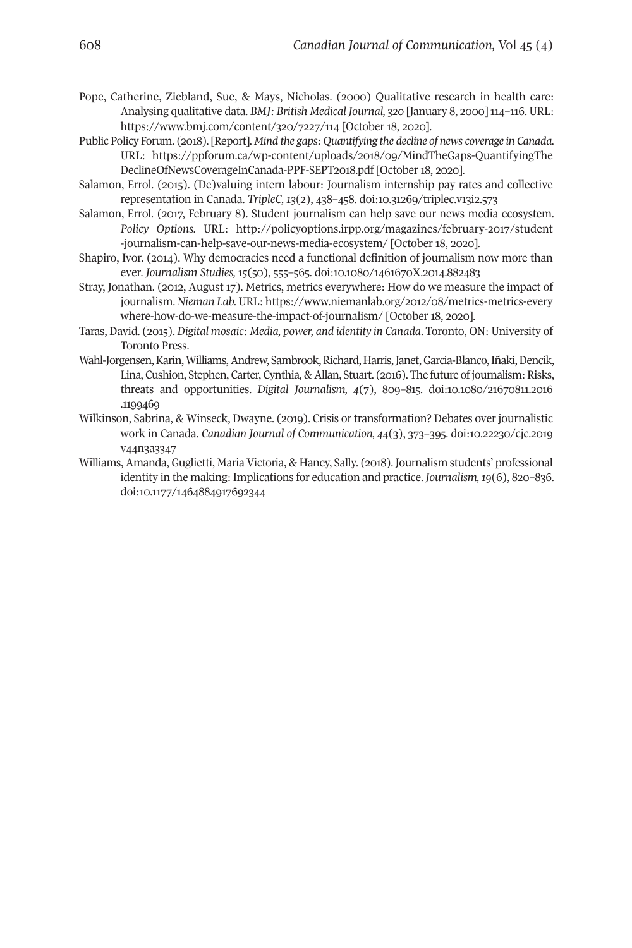- Pope, Catherine, Ziebland, Sue, & Mays, Nicholas. (2000) Qualitative research in health care: Analysing qualitative data. *BMJ: British Medical Journal, 320* [January 8, 2000]114–116. URL: <https://www.bmj.com/content/320/7227/114> [October 18, 2020].
- Public Policy Forum. (2018). [Report]. *Mind the gaps: Quantifying the decline of news coverage in Canada.* URL: [https://ppforum.ca/wp-content/uploads/2018/09/MindTheGaps-QuantifyingThe](https://ppforum.ca/wp-content/uploads/2018/09/MindTheGaps-QuantifyingTheDeclineOfNewsCoverageInCanada-PPF-SEPT2018.pdf) [DeclineOfNewsCoverageInCanada-PPF-SEPT2018.pdf](https://ppforum.ca/wp-content/uploads/2018/09/MindTheGaps-QuantifyingTheDeclineOfNewsCoverageInCanada-PPF-SEPT2018.pdf) [October 18, 2020].
- Salamon, Errol. (2015). (De)valuing intern labour: Journalism internship pay rates and collective representation in Canada. *TripleC, 13*(2), 438–458. doi[:10.31269/triplec.v13i2.573](https://doi.org/10.31269/triplec.v13i2.573)
- Salamon, Errol. (2017, February 8). Student journalism can help save our news media ecosystem. *Policy Options.* URL: [http://policyoptions.irpp.org/magazines/february-2017/student](http://policyoptions.irpp.org/magazines/february-2017/student-journalism-can-help-save-our-news-media-ecosystem/) [-journalism-can-help-save-our-news-media-ecosystem/](http://policyoptions.irpp.org/magazines/february-2017/student-journalism-can-help-save-our-news-media-ecosystem/) [October 18, 2020].
- Shapiro, Ivor. (2014). Why democracies need a functional definition of journalism now more than ever. *Journalism Studies, 15*(50), 555–565. doi[:10.1080/1461670X.2014.882483](https://doi.org/10.1080/1461670X.2014.882483)
- Stray, Jonathan. (2012, August 17). Metrics, metrics everywhere: How do we measure the impact of journalism. *Nieman Lab.* URL: [https://www.niemanlab.org/2012/08/metrics-metrics-every](https://www.niemanlab.org/2012/08/metrics-metrics-everywhere-how-do-we-measure-the-impact-of-journalism/) [where-how-do-we-measure-the-impact-of-journalism/](https://www.niemanlab.org/2012/08/metrics-metrics-everywhere-how-do-we-measure-the-impact-of-journalism/) [October 18, 2020].
- Taras, David. (2015). *Digital mosaic: Media, power, and identity in Canada*. Toronto, ON: University of Toronto Press.
- Wahl-Jorgensen, Karin, Williams, Andrew, Sambrook, Richard, Harris, Janet, Garcia-Blanco, Iñaki, Dencik, Lina, Cushion, Stephen, Carter, Cynthia, & Allan, Stuart. (2016). The future of journalism: Risks, threats and opportunities. *Digital Journalism, 4*(7), 809–815. doi[:10.1080/21670811.2016](https://doi.org/10.1080/21670811.2016.1199469) [.1199469](https://doi.org/10.1080/21670811.2016.1199469)
- Wilkinson, Sabrina, & Winseck, Dwayne. (2019). Crisis or transformation? Debates over journalistic work in Canada. *Canadian Journal of Communication, 44*(3), 373–395. doi[:10.22230/cjc.2019](https://doi.org/10.22230/cjc.2019v44n3a3347) [v44n3a3347](https://doi.org/10.22230/cjc.2019v44n3a3347)
- Williams, Amanda, Guglietti, Maria Victoria, & Haney, Sally. (2018). Journalism students' professional identity in the making: Implications for education and practice. *Journalism,19*(6), 820–836. doi[:10.1177/1464884917692344](https://doi.org/10.1177/1464884917692344)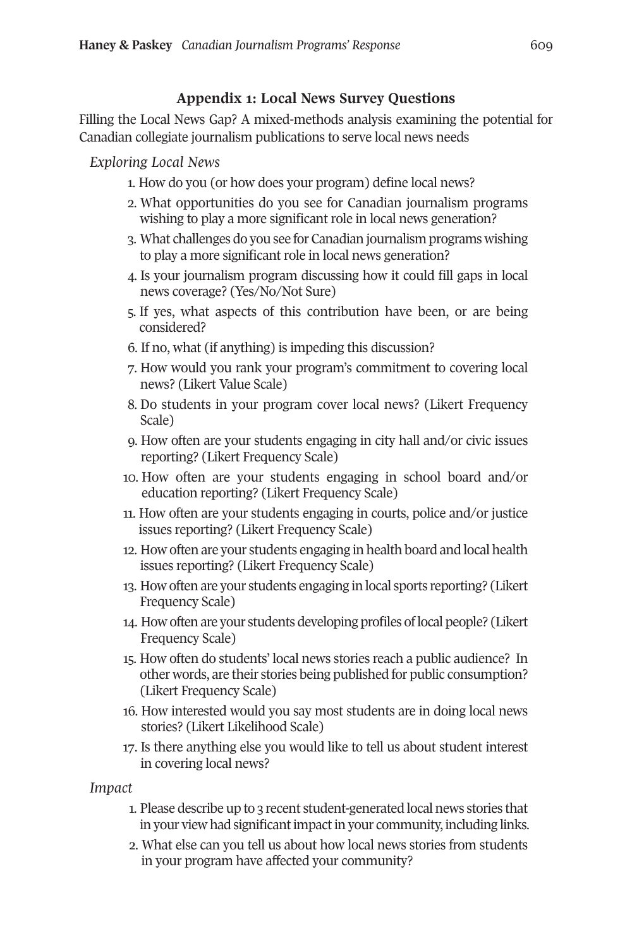# **Appendix 1: Local News Survey Questions**

Filling the Local News Gap? A mixed-methods analysis examining the potential for Canadian collegiate journalism publications to serve local news needs

*Exploring Local News*

- 1. How do you (or how does your program) define local news?
- 2. What opportunities do you see for Canadian journalism programs wishing to play a more significant role in local news generation?
- 3. What challenges do you see for Canadian journalism programs wishing to play a more significant role in local news generation?
- 4. Is your journalism program discussing how it could fill gaps in local news coverage? (Yes/No/Not Sure)
- 5. If yes, what aspects of this contribution have been, or are being considered?
- 6. If no, what (if anything) is impeding this discussion?
- 7. How would you rank your program's commitment to covering local news? (Likert Value Scale)
- 8. Do students in your program cover local news? (Likert Frequency Scale)
- 9. How often are your students engaging in city hall and/or civic issues reporting? (Likert Frequency Scale)
- 10. How often are your students engaging in school board and/or education reporting? (Likert Frequency Scale)
- 11. How often are your students engaging in courts, police and/or justice issues reporting? (Likert Frequency Scale)
- 12. How often are your students engaging in health board and local health issues reporting? (Likert Frequency Scale)
- 13. How often are your students engaging in local sports reporting? (Likert Frequency Scale)
- 14. How often are your students developing profiles oflocal people? (Likert Frequency Scale)
- 15. How often do students' local news stories reach a public audience? In other words, are their stories being published for public consumption? (Likert Frequency Scale)
- 16. How interested would you say most students are in doing local news stories? (Likert Likelihood Scale)
- 17. Is there anything else you would like to tell us about student interest in covering local news?

*Impact*

- 1. Please describe up to 3 recent student-generated local news stories that in your view had significant impact in your community, including links.
- 2. What else can you tell us about how local news stories from students in your program have affected your community?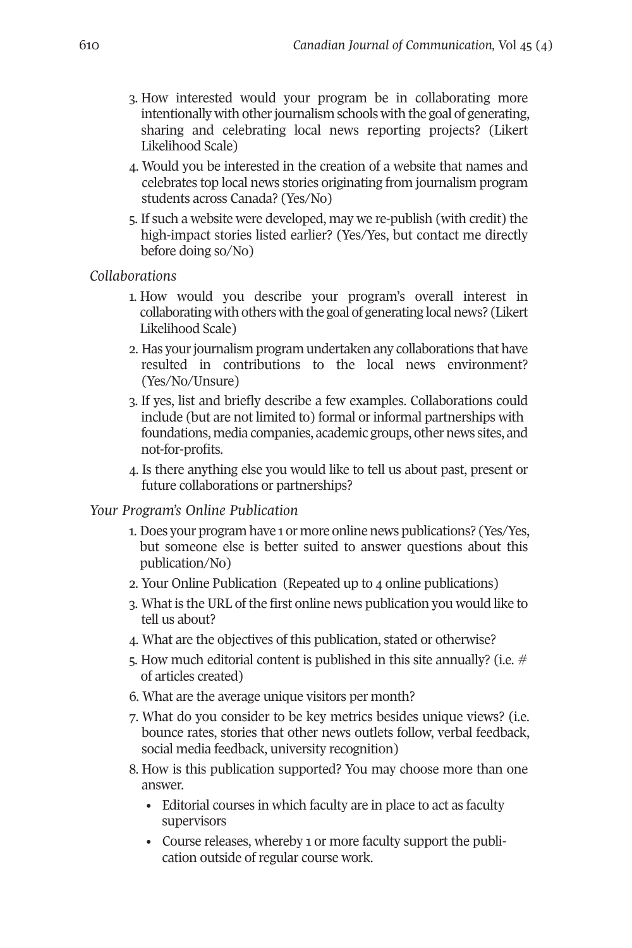- 3. How interested would your program be in collaborating more intentionally with other journalism schools with the goal of generating, sharing and celebrating local news reporting projects? (Likert Likelihood Scale)
- 4. Would you be interested in the creation of a website that names and celebrates top local news stories originating from journalism program students across Canada? (Yes/No)
- 5. If such a website were developed, may we re-publish (with credit) the high-impact stories listed earlier? (Yes/Yes, but contact me directly before doing so/No)

*Collaborations*

- 1. How would you describe your program's overall interest in collaborating with others with the goal of generating local news? (Likert Likelihood Scale)
- 2. Has your journalism program undertaken any collaborations that have resulted in contributions to the local news environment? (Yes/No/Unsure)
- 3. If yes, list and briefly describe a few examples. Collaborations could include (but are not limited to) formal or informal partnerships with foundations, media companies, academic groups, other news sites, and not-for-profits.
- 4. Is there anything else you would like to tell us about past, present or future collaborations or partnerships?

# *Your Program's Online Publication*

- 1. Does your program have 1 or more online news publications? (Yes/Yes, but someone else is better suited to answer questions about this publication/No)
- 2. Your Online Publication (Repeated up to 4 online publications)
- 3. What is the URL of the first online news publication you would like to tell us about?
- 4. What are the objectives of this publication, stated or otherwise?
- 5. How much editorial content is published in this site annually? (i.e.  $\#$ of articles created)
- 6. What are the average unique visitors per month?
- 7. What do you consider to be key metrics besides unique views? (i.e. bounce rates, stories that other news outlets follow, verbal feedback, social media feedback, university recognition)
- 8. How is this publication supported? You may choose more than one answer.
	- Editorial courses in which faculty are in place to act as faculty supervisors
	- Course releases, whereby 1 or more faculty support the publication outside of regular course work.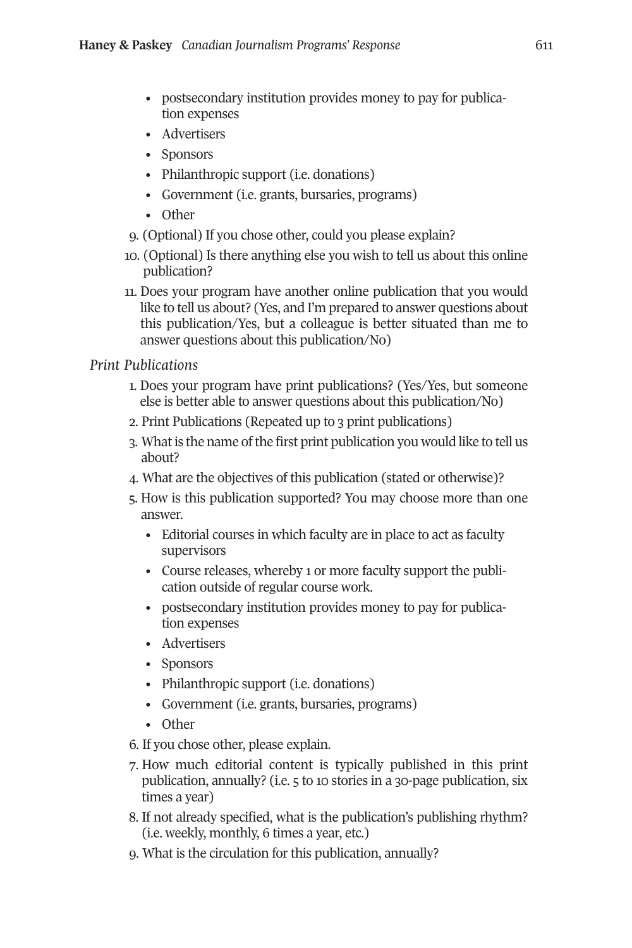- postsecondary institution provides money to pay for publication expenses
- Advertisers
- Sponsors
- Philanthropic support (i.e. donations)
- Government (i.e. grants, bursaries, programs)
- Other
- 9. (Optional) If you chose other, could you please explain?
- 10. (Optional) Is there anything else you wish to tell us about this online publication?
- 11. Does your program have another online publication that you would like to tell us about? (Yes, and I'm prepared to answer questions about this publication/Yes, but a colleague is better situated than me to answer questions about this publication/No)

# *Print Publications*

- 1. Does your program have print publications? (Yes/Yes, but someone else is better able to answer questions about this publication/No)
- 2. Print Publications (Repeated up to 3 print publications)
- 3. What is the name of the first print publication you would like to tell us about?
- 4. What are the objectives of this publication (stated or otherwise)?
- 5. How is this publication supported? You may choose more than one answer.
	- Editorial courses in which faculty are in place to act as faculty supervisors
	- Course releases, whereby 1 or more faculty support the publication outside of regular course work.
	- postsecondary institution provides money to pay for publication expenses
	- Advertisers
	- Sponsors
	- Philanthropic support (i.e. donations)
	- Government (i.e. grants, bursaries, programs)
	- Other
- 6. If you chose other, please explain.
- 7. How much editorial content is typically published in this print publication, annually? (i.e. 5 to 10 stories in a 30-page publication, six times a year)
- 8. If not already specified, what is the publication's publishing rhythm? (i.e. weekly, monthly, 6 times a year, etc.)
- 9. What is the circulation for this publication, annually?